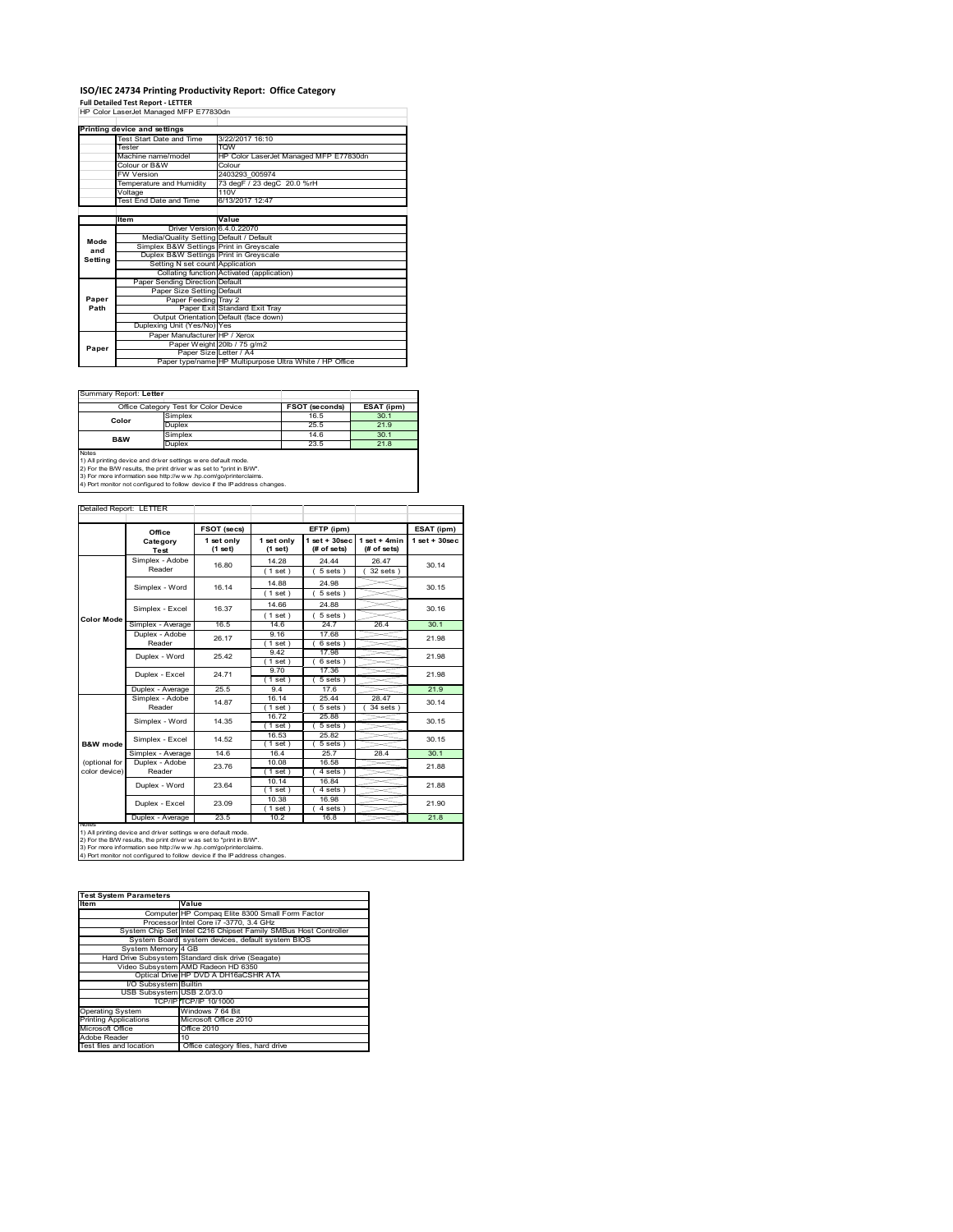### **ISO/IEC 24734 Printing Productivity Report: Office Category Full Detailed Test Report ‐ LETTER** HP Color LaserJet Managed MFP E77830dn

|         | Printing device and settings            |                                                         |  |  |  |
|---------|-----------------------------------------|---------------------------------------------------------|--|--|--|
|         | Test Start Date and Time                | 3/22/2017 16:10                                         |  |  |  |
|         | Tester                                  | <b>TOW</b>                                              |  |  |  |
|         | Machine name/model                      | HP Color LaserJet Managed MFP E77830dn                  |  |  |  |
|         | Colour or B&W                           | Colour                                                  |  |  |  |
|         | <b>FW Version</b>                       | 2403293 005974                                          |  |  |  |
|         | Temperature and Humidity                | 73 degF / 23 degC 20.0 %rH                              |  |  |  |
|         | Voltage                                 | 110V                                                    |  |  |  |
|         | Test End Date and Time                  | 6/13/2017 12:47                                         |  |  |  |
|         |                                         |                                                         |  |  |  |
|         | Item                                    | Value                                                   |  |  |  |
|         | Driver Version 6.4.0.22070              |                                                         |  |  |  |
| Mode    | Media/Quality Setting Default / Default |                                                         |  |  |  |
| and     | Simplex B&W Settings Print in Greyscale |                                                         |  |  |  |
| Setting | Duplex B&W Settings Print in Greyscale  |                                                         |  |  |  |
|         | Setting N set count Application         |                                                         |  |  |  |
|         |                                         | Collating function Activated (application)              |  |  |  |
|         | Paper Sending Direction Default         |                                                         |  |  |  |
|         | Paper Size Setting Default              |                                                         |  |  |  |
| Paper   | Paper Feeding Tray 2                    |                                                         |  |  |  |
| Path    |                                         | Paper Exit Standard Exit Tray                           |  |  |  |
|         |                                         | Output Orientation Default (face down)                  |  |  |  |
|         | Duplexing Unit (Yes/No) Yes             |                                                         |  |  |  |
|         | Paper Manufacturer HP / Xerox           |                                                         |  |  |  |
| Paper   |                                         | Paper Weight 20lb / 75 g/m2                             |  |  |  |
|         | Paper Size Letter / A4                  |                                                         |  |  |  |
|         |                                         | Paper type/name HP Multipurpose Ultra White / HP Office |  |  |  |

÷,

Summary Report: **Letter**

|                | Office Category Test for Color Device | <b>FSOT (seconds)</b> | ESAT (ipm) |
|----------------|---------------------------------------|-----------------------|------------|
| Color          | Simplex                               | 16.5                  | 30.1       |
|                | Duplex                                | 25.5                  | 21.9       |
| <b>B&amp;W</b> | Simplex                               | 14.6                  | 30.1       |
|                | Duplex                                | 23.5                  | 21.8       |
| Notes          |                                       |                       |            |

Notes<br>1) All printing device and driver settings were default mode.<br>2) For the B/W results, the print driver was set to "print in B/W".<br>3) For more information see http://www.hp.com/go/printerclaims.<br>4) Por more informatio

| Detailed Report: LETTER |  |
|-------------------------|--|

| <b>Color Mode</b>   | Category<br>Test<br>Simplex - Adobe<br>Reader<br>Simplex - Word<br>Simplex - Excel<br>Simplex - Average<br>Duplex - Adobe<br>Reader<br>Duplex - Word | 1 set only<br>(1 set)<br>16.80<br>16.14<br>16.37<br>16.5<br>26.17 | 1 set only<br>$(1$ set)<br>14.28<br>$1$ set $)$<br>14.88<br>(1 set)<br>14.66<br>$1$ set)<br>14.6<br>9.16 | $1$ set + 30sec<br>(# of sets)<br>24.44<br>$5 sets$ )<br>24.98<br>5 sets)<br>24.88<br>5 sets<br>24.7 | $1$ set + 4min<br>(# of sets)<br>26.47<br>$32$ sets $)$ | $1$ set + $30$ sec<br>30.14<br>30.15<br>30.16 |
|---------------------|------------------------------------------------------------------------------------------------------------------------------------------------------|-------------------------------------------------------------------|----------------------------------------------------------------------------------------------------------|------------------------------------------------------------------------------------------------------|---------------------------------------------------------|-----------------------------------------------|
|                     |                                                                                                                                                      |                                                                   |                                                                                                          |                                                                                                      |                                                         |                                               |
|                     |                                                                                                                                                      |                                                                   |                                                                                                          |                                                                                                      |                                                         |                                               |
|                     |                                                                                                                                                      |                                                                   |                                                                                                          |                                                                                                      |                                                         |                                               |
|                     |                                                                                                                                                      |                                                                   |                                                                                                          |                                                                                                      |                                                         |                                               |
|                     |                                                                                                                                                      |                                                                   |                                                                                                          |                                                                                                      |                                                         |                                               |
|                     |                                                                                                                                                      |                                                                   |                                                                                                          |                                                                                                      |                                                         |                                               |
|                     |                                                                                                                                                      |                                                                   |                                                                                                          |                                                                                                      |                                                         |                                               |
|                     |                                                                                                                                                      |                                                                   |                                                                                                          |                                                                                                      | 26.4                                                    | 30.1                                          |
|                     |                                                                                                                                                      |                                                                   |                                                                                                          | 17.68                                                                                                |                                                         | 21.98                                         |
|                     |                                                                                                                                                      |                                                                   | $1$ set)                                                                                                 | $6 sets$ )                                                                                           |                                                         |                                               |
|                     |                                                                                                                                                      | 25.42                                                             | 9.42                                                                                                     | 17.98                                                                                                |                                                         | 21.98                                         |
|                     |                                                                                                                                                      |                                                                   | $1$ set)                                                                                                 | 6 sets)                                                                                              |                                                         |                                               |
|                     | Duplex - Excel                                                                                                                                       | 24.71                                                             | 9.70                                                                                                     | 17.36                                                                                                |                                                         | 21.98                                         |
|                     |                                                                                                                                                      |                                                                   | $1$ set)                                                                                                 | 5 sets                                                                                               |                                                         |                                               |
|                     | Duplex - Average                                                                                                                                     | 25.5                                                              | 94                                                                                                       | 17.6                                                                                                 |                                                         | 21.9                                          |
|                     | Simplex - Adobe                                                                                                                                      | 14.87                                                             | 16.14                                                                                                    | 25.44                                                                                                | 28.47                                                   | 30.14                                         |
|                     | Reader                                                                                                                                               |                                                                   | $1$ set)                                                                                                 | 5 sets 1                                                                                             | 34 sets                                                 |                                               |
|                     | Simplex - Word                                                                                                                                       | 14.35                                                             | 16.72                                                                                                    | 25.88                                                                                                |                                                         | 30.15<br>30.15                                |
|                     |                                                                                                                                                      |                                                                   | $1$ set)                                                                                                 | $5 sets$ )                                                                                           |                                                         |                                               |
|                     | Simplex - Excel                                                                                                                                      | 14.52                                                             | 16.53                                                                                                    | 25.82                                                                                                |                                                         |                                               |
| <b>B&amp;W</b> mode |                                                                                                                                                      |                                                                   | $1$ set)                                                                                                 | 5 sets 1                                                                                             |                                                         |                                               |
|                     | Simplex - Average                                                                                                                                    | 14.6                                                              | 16.4                                                                                                     | 25.7                                                                                                 | 28.4                                                    | 30.1                                          |
| (optional for       | Duplex - Adobe                                                                                                                                       | 23.76                                                             | 10.08                                                                                                    | 16.58                                                                                                |                                                         | 21.88                                         |
| color device)       | Reader                                                                                                                                               |                                                                   | (1 set)                                                                                                  | $4 sets$ )                                                                                           |                                                         |                                               |
|                     | Duplex - Word                                                                                                                                        | 23.64                                                             | 10.14                                                                                                    | 16.84                                                                                                |                                                         | 21.88                                         |
|                     |                                                                                                                                                      |                                                                   | $1$ set)                                                                                                 | 4 sets                                                                                               |                                                         |                                               |
|                     | Duplex - Excel                                                                                                                                       | 23.09                                                             | 10.38                                                                                                    | 16.98                                                                                                |                                                         | 21.90                                         |
|                     |                                                                                                                                                      |                                                                   | $1$ set)                                                                                                 | 4 sets)                                                                                              |                                                         |                                               |
| <b>NOtes</b>        | Duplex - Average                                                                                                                                     | 23.5                                                              | 10.2                                                                                                     | 16.8                                                                                                 |                                                         | 21.8                                          |

| <b>Test System Parameters</b> |                                                                 |  |  |  |
|-------------------------------|-----------------------------------------------------------------|--|--|--|
| Item                          | Value                                                           |  |  |  |
|                               | Computer HP Compaq Elite 8300 Small Form Factor                 |  |  |  |
|                               | ProcessorIntel Core i7 -3770, 3.4 GHz                           |  |  |  |
|                               | System Chip Set Intel C216 Chipset Family SMBus Host Controller |  |  |  |
|                               | System Board system devices, default system BIOS                |  |  |  |
| System Memory 4 GB            |                                                                 |  |  |  |
|                               | Hard Drive Subsystem Standard disk drive (Seagate)              |  |  |  |
|                               | Video Subsystem AMD Radeon HD 6350                              |  |  |  |
|                               | Optical Drive HP DVD A DH16aCSHR ATA                            |  |  |  |
| I/O Subsystem Builtin         |                                                                 |  |  |  |
| USB Subsystem USB 2.0/3.0     |                                                                 |  |  |  |
|                               | TCP/IPITCP/IP 10/1000                                           |  |  |  |
| <b>Operating System</b>       | Windows 7 64 Bit                                                |  |  |  |
| <b>Printing Applications</b>  | Microsoft Office 2010                                           |  |  |  |
| Microsoft Office              | Office 2010                                                     |  |  |  |
| Adobe Reader                  | 10                                                              |  |  |  |
| Test files and location       | Office category files, hard drive                               |  |  |  |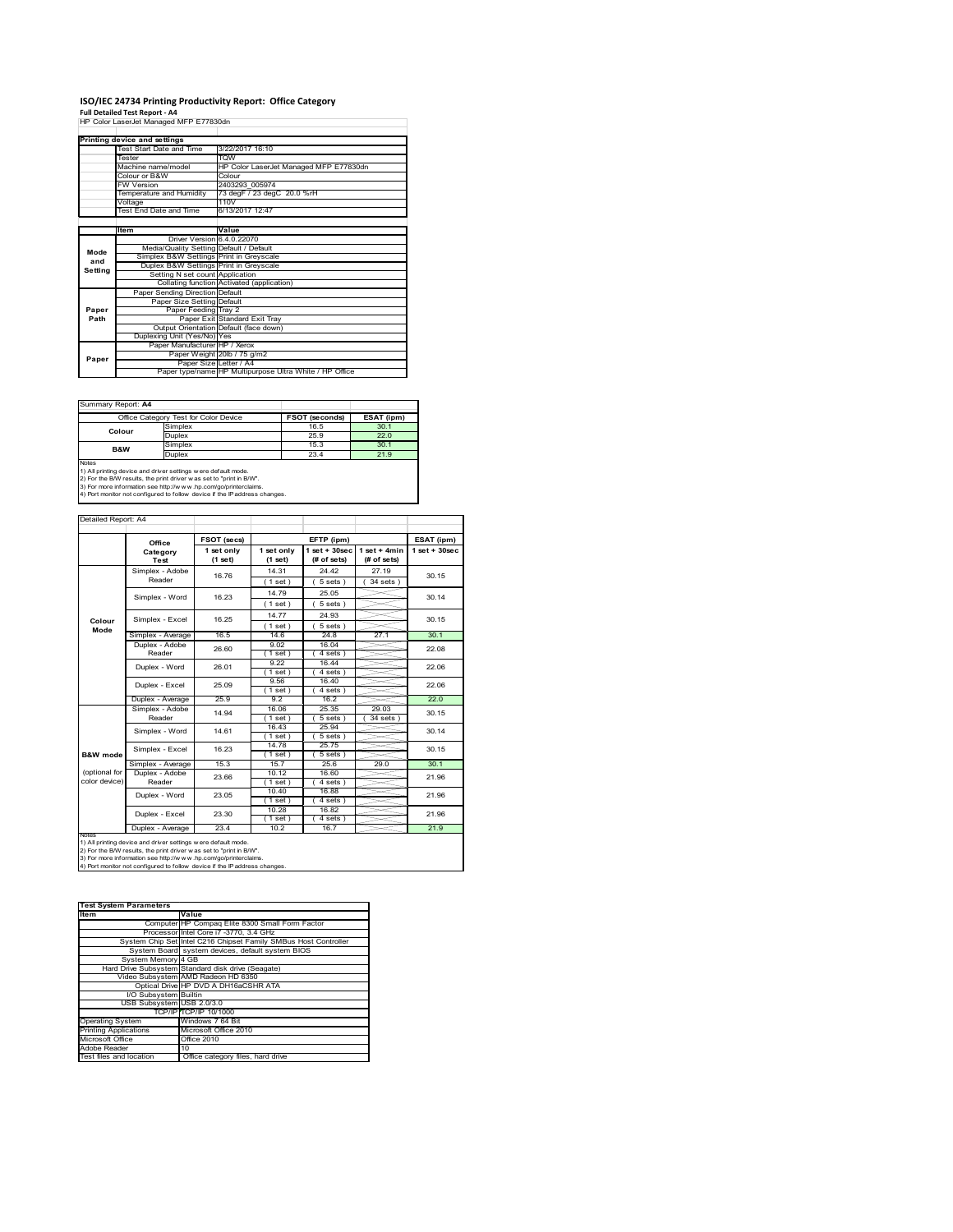# **ISO/IEC 24734 Printing Productivity Report: Office Category Full Detailed Test Report ‐ A4** HP Color LaserJet Managed MFP E77830dn

|         | HP Color LaserJet Manaded MFP E77830dh  |                                                         |  |  |
|---------|-----------------------------------------|---------------------------------------------------------|--|--|
|         |                                         |                                                         |  |  |
|         | Printing device and settings            |                                                         |  |  |
|         | Test Start Date and Time                | 3/22/2017 16:10                                         |  |  |
|         | Tester                                  | <b>WOT</b>                                              |  |  |
|         | Machine name/model                      | HP Color LaserJet Managed MFP E77830dn                  |  |  |
|         | Colour or B&W                           | Colour                                                  |  |  |
|         | <b>FW Version</b>                       | 2403293 005974                                          |  |  |
|         | Temperature and Humidity                | 73 degF / 23 degC 20.0 %rH                              |  |  |
|         | Voltage                                 | 110V                                                    |  |  |
|         | Test End Date and Time                  | 6/13/2017 12:47                                         |  |  |
|         |                                         |                                                         |  |  |
|         | Item                                    | Value                                                   |  |  |
|         | Driver Version 6.4.0.22070              |                                                         |  |  |
| Mode    | Media/Quality Setting Default / Default |                                                         |  |  |
| and     | Simplex B&W Settings Print in Greyscale |                                                         |  |  |
| Setting | Duplex B&W Settings Print in Greyscale  |                                                         |  |  |
|         | Setting N set count Application         |                                                         |  |  |
|         |                                         | Collating function Activated (application)              |  |  |
|         | Paper Sending Direction Default         |                                                         |  |  |
|         | Paper Size Setting Default              |                                                         |  |  |
| Paper   | Paper Feeding Tray 2                    |                                                         |  |  |
| Path    |                                         | Paper Exit Standard Exit Tray                           |  |  |
|         |                                         | Output Orientation Default (face down)                  |  |  |
|         | Duplexing Unit (Yes/No) Yes             |                                                         |  |  |
|         | Paper Manufacturer HP / Xerox           |                                                         |  |  |
| Paper   |                                         | Paper Weight 20lb / 75 g/m2                             |  |  |
|         |                                         | Paper Size Letter / A4                                  |  |  |
|         |                                         | Paper type/name HP Multipurpose Ultra White / HP Office |  |  |

Summary Report: **A4**

| Office Category Test for Color Device |         | <b>FSOT (seconds)</b> | ESAT (ipm) |
|---------------------------------------|---------|-----------------------|------------|
| Colour                                | Simplex | 16.5                  | 30.1       |
|                                       | Duplex  | 25.9                  | 22.0       |
| <b>B&amp;W</b>                        | Simplex | 15.3                  | 30.1       |
|                                       | Duplex  | 23.4                  | 21.9       |
| Notes                                 |         |                       |            |

Notes<br>1) All printing device and driver settings w ere default mode.<br>2) For the B/W results, the print driver was set to "print in B/W".<br>3) For more information see http://www.hp.com/go/printerclaims.<br>4) Por more informati

| Detailed Report: A4            |                           |                       |                         |                                   |                               |                   |
|--------------------------------|---------------------------|-----------------------|-------------------------|-----------------------------------|-------------------------------|-------------------|
|                                | Office                    | FSOT (secs)           |                         | EFTP (ipm)                        |                               | ESAT (ipm)        |
|                                | Category<br>Test          | 1 set only<br>(1 set) | 1 set only<br>$(1$ set) | $1$ set + $30$ sec<br>(# of sets) | $1$ set + 4min<br>(# of sets) | $1$ set $+30$ sec |
|                                | Simplex - Adobe<br>Reader | 16.76                 | 14.31<br>$1$ set)       | 24.42<br>$5 sets$ )               | 27.19<br>$34$ sets            | 30.15             |
|                                | Simplex - Word            | 16.23                 | 14.79                   | 25.05<br>$5 sets$ )               |                               | 30.14             |
| Colour                         | Simplex - Excel           | 16.25                 | $1$ set)<br>14.77       | 24.93                             |                               | 30.15             |
| Mode                           | Simplex - Average         | 16.5                  | (1 set)<br>146          | 5 sets)<br>24.8                   | 27.1                          | 30.1              |
|                                | Duplex - Adobe<br>Reader  | 26.60                 | 9.02<br>$1$ set)        | 16.04<br>$4 sets$ )               |                               | 22.08             |
|                                | Duplex - Word             | 26.01                 | 9.22<br>$1$ set)        | 16.44<br>4 sets)                  |                               | 22.06             |
|                                | Duplex - Excel            | 25.09                 | 9.56<br>$1$ set $)$     | 16.40<br>4 sets 1                 |                               | 22.06             |
|                                | Duplex - Average          | 25.9                  | 92                      | 16.2                              |                               | 22.0              |
|                                | Simplex - Adobe<br>Reader | 14.94                 | 16.06<br>$1$ set)       | 25.35<br>$5 sets$ )               | 29.03<br>$34$ sets $)$        | 30.15             |
|                                | Simplex - Word            | 14.61                 | 16.43<br>$1$ set $)$    | 25.94<br>$5 sets$ )               |                               | 30.14             |
| B&W mode                       | Simplex - Excel           | 16.23                 | 14.78<br>$1$ set $)$    | 25.75<br>$5 sets$ )               |                               | 30.15             |
|                                | Simplex - Average         | 15.3                  | 15.7                    | 25.6                              | 29.0                          | 30.1              |
| (optional for<br>color device) | Duplex - Adobe<br>Reader  | 23.66                 | 10.12<br>$1$ set)       | 16.60<br>$4 sets$ )               |                               | 21.96             |
|                                | Duplex - Word             | 23.05                 | 10.40<br>$1$ set)       | 16.88<br>4 sets)                  |                               | 21.96             |
|                                | Duplex - Excel            | 23.30                 | 10.28<br>$1$ set)       | 16.82<br>4 sets)                  |                               | 21.96             |
| <b>INOTES</b>                  | Duplex - Average          | 23.4                  | 10.2                    | 16.7                              |                               | 21.9              |

notes<br>1) All printing device and driver settings w ere default mode.<br>2) For the B/W results, the print driver was set to "print in B/W".<br>3) For more information see http://www.vhp.com/go/printerclaims.<br>4) For more informat

| <b>Test System Parameters</b> |                                                                 |  |  |  |  |
|-------------------------------|-----------------------------------------------------------------|--|--|--|--|
| <b>Item</b>                   | Value                                                           |  |  |  |  |
|                               | Computer HP Compaq Elite 8300 Small Form Factor                 |  |  |  |  |
|                               | Processor Intel Core i7 -3770, 3.4 GHz                          |  |  |  |  |
|                               | System Chip Set Intel C216 Chipset Family SMBus Host Controller |  |  |  |  |
|                               | System Board system devices, default system BIOS                |  |  |  |  |
| System Memory 4 GB            |                                                                 |  |  |  |  |
|                               | Hard Drive Subsystem Standard disk drive (Seagate)              |  |  |  |  |
|                               | Video Subsystem AMD Radeon HD 6350                              |  |  |  |  |
|                               | Optical Drive HP DVD A DH16aCSHR ATA                            |  |  |  |  |
| I/O Subsystem Builtin         |                                                                 |  |  |  |  |
| USB Subsystem USB 2.0/3.0     |                                                                 |  |  |  |  |
|                               | TCP/IPITCP/IP 10/1000                                           |  |  |  |  |
| <b>Operating System</b>       | Windows 7 64 Bit                                                |  |  |  |  |
| <b>Printing Applications</b>  | Microsoft Office 2010                                           |  |  |  |  |
| Microsoft Office              | Office 2010                                                     |  |  |  |  |
| Adobe Reader                  | 10                                                              |  |  |  |  |
| Test files and location       | Office category files, hard drive                               |  |  |  |  |
|                               |                                                                 |  |  |  |  |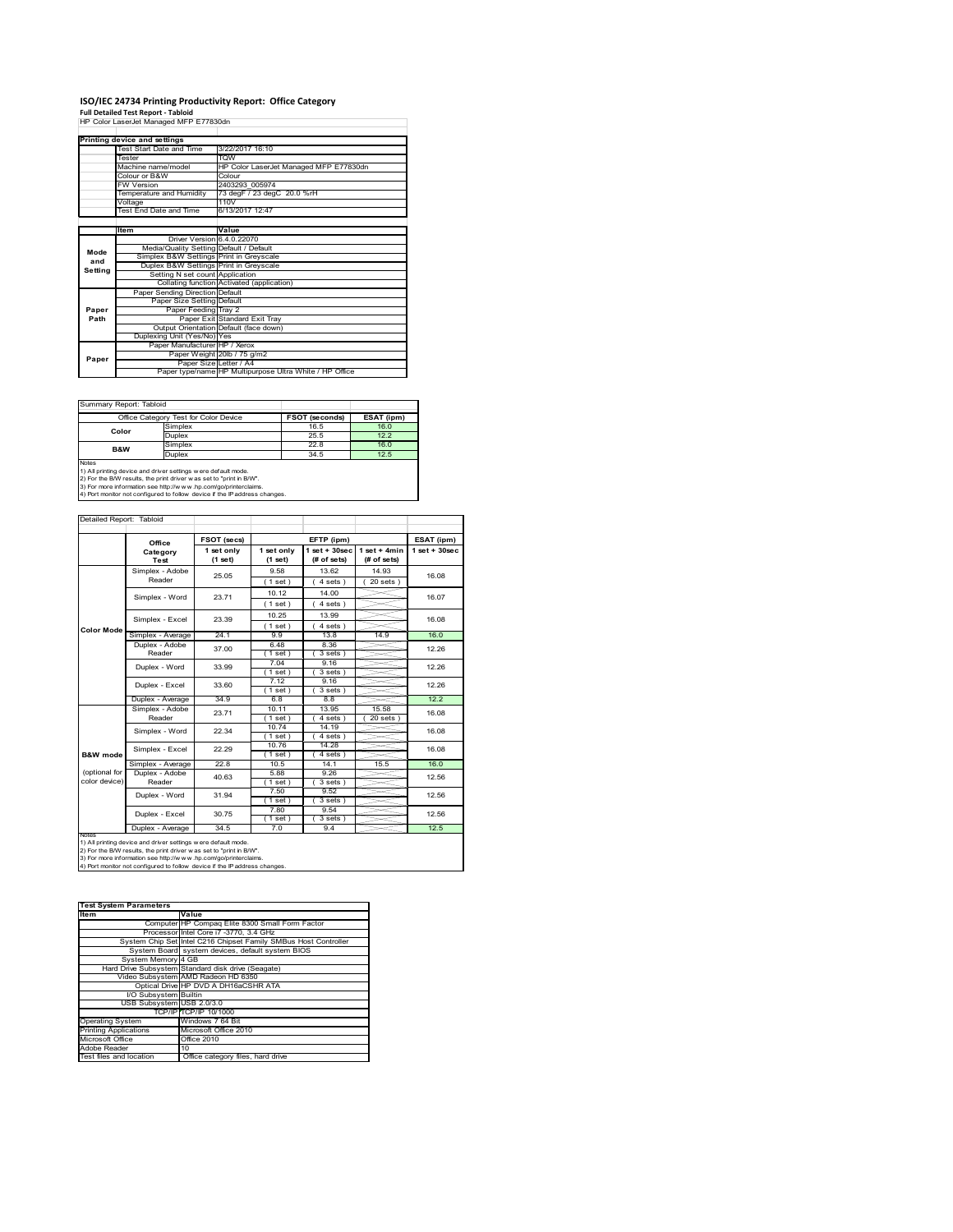# **ISO/IEC 24734 Printing Productivity Report: Office Category Full Detailed Test Report ‐ Tabloid** HP Color LaserJet Managed MFP E77830dn

|         | HP Color LaserJet Manaded MFP E77830dh  |                                                         |  |  |
|---------|-----------------------------------------|---------------------------------------------------------|--|--|
|         |                                         |                                                         |  |  |
|         | Printing device and settings            |                                                         |  |  |
|         | Test Start Date and Time                | 3/22/2017 16:10                                         |  |  |
|         | Tester                                  | <b>WOT</b>                                              |  |  |
|         | Machine name/model                      | HP Color LaserJet Managed MFP E77830dn                  |  |  |
|         | Colour or B&W                           | Colour                                                  |  |  |
|         | <b>FW Version</b>                       | 2403293 005974                                          |  |  |
|         | Temperature and Humidity                | 73 degF / 23 degC 20.0 %rH                              |  |  |
|         | Voltage                                 | 110V                                                    |  |  |
|         | Test End Date and Time                  | 6/13/2017 12:47                                         |  |  |
|         |                                         |                                                         |  |  |
|         | ltem                                    | Value                                                   |  |  |
|         | Driver Version 6.4.0.22070              |                                                         |  |  |
| Mode    | Media/Quality Setting Default / Default |                                                         |  |  |
| and     | Simplex B&W Settings Print in Greyscale |                                                         |  |  |
| Setting | Duplex B&W Settings Print in Greyscale  |                                                         |  |  |
|         | Setting N set count Application         |                                                         |  |  |
|         |                                         | Collating function Activated (application)              |  |  |
|         | Paper Sending Direction Default         |                                                         |  |  |
|         | Paper Size Setting Default              |                                                         |  |  |
| Paper   | Paper Feeding Tray 2                    |                                                         |  |  |
| Path    |                                         | Paper Exit Standard Exit Tray                           |  |  |
|         |                                         | Output Orientation Default (face down)                  |  |  |
|         | Duplexing Unit (Yes/No) Yes             |                                                         |  |  |
|         | Paper Manufacturer HP / Xerox           |                                                         |  |  |
| Paper   |                                         | Paper Weight 20lb / 75 g/m2                             |  |  |
|         | Paper Size Letter / A4                  |                                                         |  |  |
|         |                                         | Paper type/name HP Multipurpose Ultra White / HP Office |  |  |

Summary Report: Tabloid

| Office Category Test for Color Device |                                                                            | <b>FSOT (seconds)</b> | ESAT (ipm) |  |  |  |
|---------------------------------------|----------------------------------------------------------------------------|-----------------------|------------|--|--|--|
| Color                                 | Simplex                                                                    | 16.5                  | 16.0       |  |  |  |
|                                       | Duplex                                                                     | 25.5                  | 12.2       |  |  |  |
| <b>B&amp;W</b>                        | Simplex                                                                    | 22.8                  | 16.0       |  |  |  |
|                                       | <b>Duplex</b>                                                              | 34.5                  | 12.5       |  |  |  |
| Notes                                 |                                                                            |                       |            |  |  |  |
|                                       | 1) All printing device and driver settings w ere default mode.             |                       |            |  |  |  |
|                                       | 2) For the B/W results, the print driver was set to "print in B/W".        |                       |            |  |  |  |
|                                       | 3) For more information see http://www.hp.com/go/printerclaims.            |                       |            |  |  |  |
|                                       | 4) Port monitor not configured to follow device if the IP address changes. |                       |            |  |  |  |

|                   | Office                    | FSOT (secs)           |                       | EFTP (ipm)                        |                               | ESAT (ipm)        |
|-------------------|---------------------------|-----------------------|-----------------------|-----------------------------------|-------------------------------|-------------------|
|                   | Category<br>Test          | 1 set only<br>(1 set) | 1 set only<br>(1 set) | $1$ set + $30$ sec<br>(# of sets) | $1$ set + 4min<br>(# of sets) | $1$ set $+30$ sec |
|                   | Simplex - Adobe           | 25.05                 | 9.58                  | 13.62                             | 14.93                         | 16.08             |
|                   | Reader                    |                       | (1 set)               | 4 sets)                           | $20$ sets $)$                 |                   |
|                   | Simplex - Word            | 23.71                 | 10.12                 | 14.00                             |                               | 16.07             |
|                   |                           |                       | $1$ set $)$           | 4 sets)                           |                               |                   |
|                   |                           | 23.39                 | 10.25                 | 13.99                             |                               | 16.08             |
| <b>Color Mode</b> | Simplex - Excel           |                       | (1 set)               | 4 sets)                           |                               |                   |
|                   | Simplex - Average         | 24.1                  | 99                    | 13.8                              | 14.9                          | 16.0              |
|                   | Duplex - Adobe            | 37.00                 | 6.48                  | 8.36                              |                               | 12.26<br>12.26    |
|                   | Reader                    |                       | $1$ set)              | 3 sets)                           |                               |                   |
|                   | Duplex - Word             | 33.99                 | 7.04                  | 9.16                              |                               |                   |
|                   |                           |                       | $1$ set)              | 3 sets)                           |                               |                   |
|                   | Duplex - Excel            | 33.60                 | 7.12                  | 9.16                              |                               | 12.26             |
|                   |                           |                       | $1$ set $)$           | 3 sets)                           |                               |                   |
|                   | Duplex - Average          | 34.9                  | 6.8                   | 8.8                               |                               | 12.2              |
|                   | Simplex - Adobe<br>Reader | 23.71                 | 10.11                 | 13.95                             | 15.58                         | 16.08             |
|                   |                           |                       | $1$ set)<br>10.74     | 4 sets)<br>14.19                  | $20$ sets $)$                 |                   |
|                   | Simplex - Word            | 22.34                 | $1$ set)              | 4 sets)                           |                               | 16.08             |
|                   |                           |                       | 10.76                 | 14.28                             |                               |                   |
| B&W mode          | Simplex - Excel           | 22.29                 | $1$ set)              | 4 sets)                           |                               | 16.08             |
|                   | Simplex - Average         | 22.8                  | 10.5                  | 14.1                              | 15.5                          | 16.0              |
| (optional for     | Duplex - Adobe            | 40.63                 | 5.88                  | 9.26                              |                               | 12.56             |
| color device)     | Reader                    |                       | $1$ set)              | 3 sets)                           |                               |                   |
|                   | Duplex - Word             | 31.94                 | 7.50                  | 9.52                              |                               | 12.56             |
|                   |                           |                       | (1 set)               | 3 sets)                           |                               |                   |
|                   | Duplex - Excel            | 30.75                 | 7.80                  | 9.54                              |                               | 12.56             |
|                   | Duplex - Average          | 34.5                  | $1$ set)<br>7.0       | 3 sets)<br>9.4                    |                               | 12.5              |

notes<br>1) All printing device and driver settings w ere default mode.<br>2) For the B/W results, the print driver was set to "print in B/W".<br>3) For more information see http://www.vhp.com/go/printerclaims.<br>4) For more informat

| <b>Test System Parameters</b> |                                                                 |  |  |  |
|-------------------------------|-----------------------------------------------------------------|--|--|--|
| <b>Item</b>                   | Value                                                           |  |  |  |
|                               | Computer HP Compaq Elite 8300 Small Form Factor                 |  |  |  |
|                               | Processor Intel Core i7 -3770, 3.4 GHz                          |  |  |  |
|                               | System Chip Set Intel C216 Chipset Family SMBus Host Controller |  |  |  |
|                               | System Board system devices, default system BIOS                |  |  |  |
| System Memory 4 GB            |                                                                 |  |  |  |
|                               | Hard Drive Subsystem Standard disk drive (Seagate)              |  |  |  |
|                               | Video Subsystem AMD Radeon HD 6350                              |  |  |  |
|                               | Optical Drive HP DVD A DH16aCSHR ATA                            |  |  |  |
| I/O Subsystem Builtin         |                                                                 |  |  |  |
| USB Subsystem USB 2.0/3.0     |                                                                 |  |  |  |
|                               | TCP/IPITCP/IP 10/1000                                           |  |  |  |
| <b>Operating System</b>       | Windows 7 64 Bit                                                |  |  |  |
| <b>Printing Applications</b>  | Microsoft Office 2010                                           |  |  |  |
| Microsoft Office              | Office 2010                                                     |  |  |  |
| Adobe Reader                  | 10                                                              |  |  |  |
| Test files and location       | Office category files, hard drive                               |  |  |  |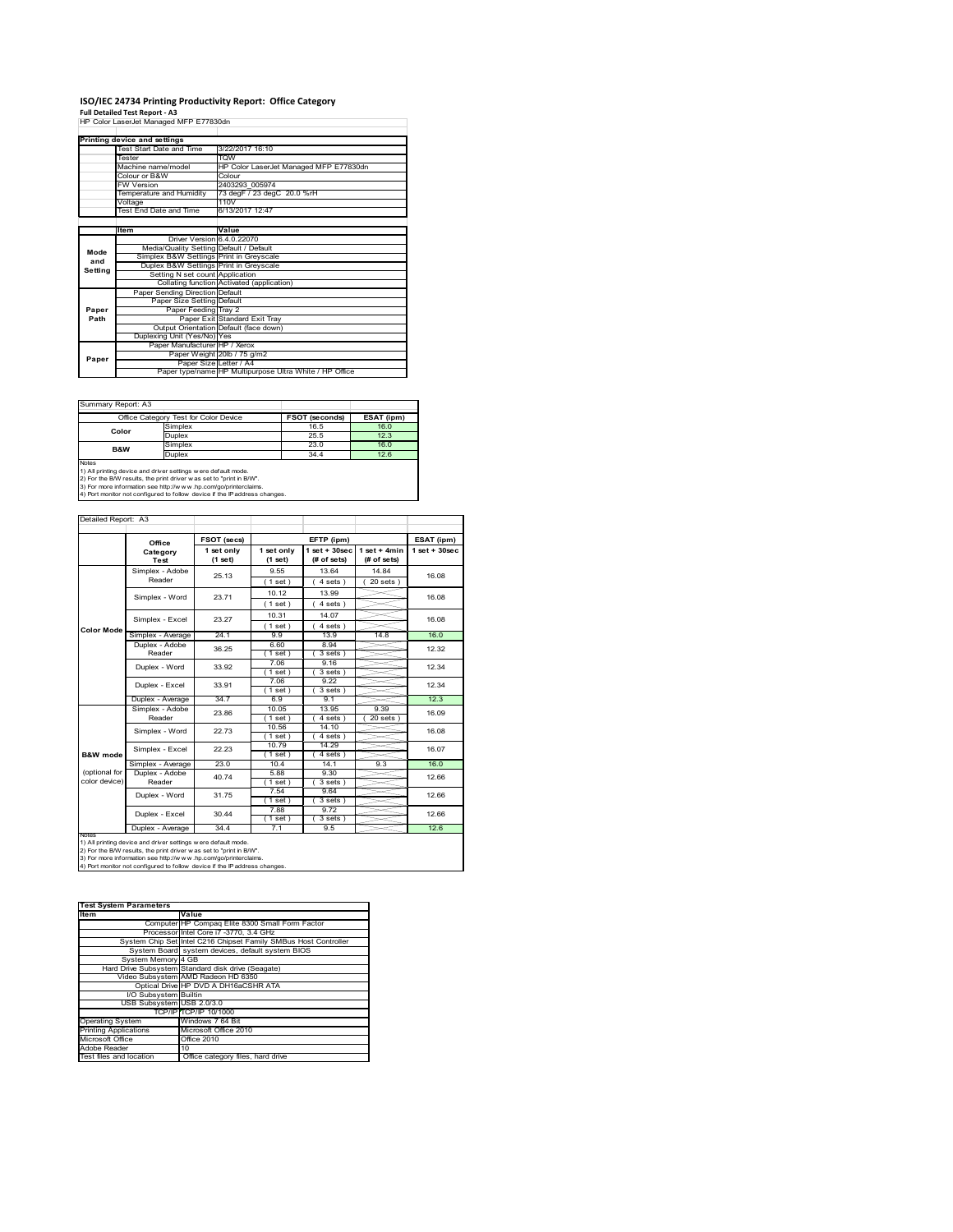# **ISO/IEC 24734 Printing Productivity Report: Office Category Full Detailed Test Report ‐ A3** HP Color LaserJet Managed MFP E77830dn

|         | HP Color LaserJet Manaded MFP E77830dh  |                                                         |  |
|---------|-----------------------------------------|---------------------------------------------------------|--|
|         |                                         |                                                         |  |
|         | Printing device and settings            |                                                         |  |
|         | Test Start Date and Time                | 3/22/2017 16:10                                         |  |
|         | Tester                                  | <b>TOW</b>                                              |  |
|         | Machine name/model                      | HP Color LaserJet Managed MFP E77830dn                  |  |
|         | Colour or B&W                           | Colour                                                  |  |
|         | <b>FW Version</b>                       | 2403293 005974                                          |  |
|         | Temperature and Humidity                | 73 degF / 23 degC 20.0 %rH                              |  |
|         | Voltage                                 | 110V                                                    |  |
|         | Test End Date and Time                  | 6/13/2017 12:47                                         |  |
|         |                                         |                                                         |  |
|         | <b>Item</b>                             | Value                                                   |  |
|         | Driver Version 6.4.0.22070              |                                                         |  |
| Mode    | Media/Quality Setting Default / Default |                                                         |  |
| and     | Simplex B&W Settings Print in Greyscale |                                                         |  |
| Setting | Duplex B&W Settings Print in Greyscale  |                                                         |  |
|         | Setting N set count Application         |                                                         |  |
|         |                                         | Collating function Activated (application)              |  |
|         | Paper Sending Direction Default         |                                                         |  |
|         | Paper Size Setting Default              |                                                         |  |
| Paper   | Paper Feeding Tray 2                    |                                                         |  |
| Path    |                                         | Paper Exit Standard Exit Tray                           |  |
|         |                                         | Output Orientation Default (face down)                  |  |
|         | Duplexing Unit (Yes/No) Yes             |                                                         |  |
|         | Paper Manufacturer HP / Xerox           |                                                         |  |
| Paper   |                                         | Paper Weight 20lb / 75 g/m2                             |  |
|         | Paper Size Letter / A4                  |                                                         |  |
|         |                                         | Paper type/name HP Multipurpose Ultra White / HP Office |  |

Summary Report: A3

| Office Category Test for Color Device                                      |                                                                | <b>FSOT (seconds)</b> | ESAT (ipm) |  |  |  |
|----------------------------------------------------------------------------|----------------------------------------------------------------|-----------------------|------------|--|--|--|
| Color                                                                      | Simplex                                                        | 16.5                  | 16.0       |  |  |  |
|                                                                            | <b>Duplex</b>                                                  | 25.5                  | 12.3       |  |  |  |
| B&W                                                                        | Simplex                                                        | 23.0                  | 16.0       |  |  |  |
|                                                                            | <b>Duplex</b><br>34.4                                          |                       | 12.6       |  |  |  |
| Notes                                                                      |                                                                |                       |            |  |  |  |
|                                                                            | 1) All printing device and driver settings w ere default mode. |                       |            |  |  |  |
| 2) For the B/W results, the print driver was set to "print in B/W".        |                                                                |                       |            |  |  |  |
| 3) For more information see http://www.hp.com/go/printerclaims.            |                                                                |                       |            |  |  |  |
| 4) Port monitor not configured to follow device if the IP address changes. |                                                                |                       |            |  |  |  |

|                                | Office                                                         | FSOT (secs)           | EFTP (ipm)            |                                   | ESAT (ipm)                    |                    |
|--------------------------------|----------------------------------------------------------------|-----------------------|-----------------------|-----------------------------------|-------------------------------|--------------------|
|                                | Category<br>Test                                               | 1 set only<br>(1 set) | 1 set only<br>(1 set) | $1$ set + $30$ sec<br>(# of sets) | $1$ set + 4min<br>(# of sets) | $1$ set + $30$ sec |
|                                | Simplex - Adobe                                                | 25.13                 | 9.55                  | 13.64                             | 14 84                         | 16.08              |
|                                | Reader                                                         |                       | $1$ set)              | $4 sets$ )                        | $20$ sets $)$                 |                    |
|                                | Simplex - Word                                                 | 23.71                 | 10.12                 | 13.99                             |                               | 16.08              |
|                                |                                                                |                       | (1 set)               | 4 sets)                           |                               |                    |
|                                | Simplex - Excel                                                | 23.27                 | 10.31                 | 14.07                             |                               | 16.08              |
| Color Mode                     |                                                                |                       | (1 set)               | 4 sets)                           |                               |                    |
|                                | Simplex - Average                                              | 24.1                  | 99                    | 13.9                              | 14.8                          | 16.0               |
|                                | Duplex - Adobe                                                 | 36.25                 | 6.60                  | 8.94                              |                               | 12.32              |
|                                | Reader                                                         |                       | $1$ set)              | $3 sets$ )                        |                               |                    |
|                                | Duplex - Word                                                  | 33.92                 | 7.06                  | 9.16                              |                               | 12.34              |
|                                |                                                                |                       | $1$ set)<br>7.06      | 3 sets)<br>9.22                   |                               |                    |
|                                | Duplex - Excel                                                 | 33.91                 | $1$ set)              | 3 sets                            |                               | 12.34              |
|                                | Duplex - Average                                               | 34.7                  | 6.9                   | 9.1                               |                               | 12.3               |
|                                | Simplex - Adobe                                                | 23.86                 | 10.05                 | 13.95                             | 9.39                          | 16.09              |
|                                | Reader                                                         |                       | $1$ set)              | 4 sets 1                          | 20 sets                       |                    |
|                                | Simplex - Word                                                 | 22.73                 | 10.56                 | 14.10                             |                               | 16.08              |
|                                |                                                                |                       | (1 set)               | 4 sets)                           |                               |                    |
|                                | Simplex - Excel                                                | 22.23                 | 10.79                 | 14.29                             |                               | 16.07              |
| B&W mode                       |                                                                |                       | $1$ set)              | $4 sets$ )                        |                               |                    |
|                                | Simplex - Average                                              | 23.0                  | 10.4                  | 14.1                              | 9.3                           | 16.0               |
| (optional for<br>color device) | Duplex - Adobe<br>Reader                                       | 40.74                 | 5.88                  | 9.30                              |                               | 12.66              |
|                                |                                                                |                       | $1$ set)<br>7.54      | 3 sets)<br>9.64                   |                               |                    |
|                                | Duplex - Word                                                  | 31.75                 | $1$ set)              | 3 sets)                           |                               | 12.66              |
|                                |                                                                |                       | 7.88                  | 9.72                              |                               |                    |
|                                | Duplex - Excel                                                 | 30.44                 | (1 set)               | $3 sets$ )                        |                               | 12.66              |
|                                | Duplex - Average                                               | 34.4                  | 7.1                   | 9.5                               |                               | 12.6               |
| <b>INOTES</b>                  | 1) All printing device and driver settings w ere default mode. |                       |                       |                                   |                               |                    |

| <b>Test System Parameters</b> |                                                                 |  |  |  |
|-------------------------------|-----------------------------------------------------------------|--|--|--|
| <b>Item</b>                   | Value                                                           |  |  |  |
|                               | Computer HP Compaq Elite 8300 Small Form Factor                 |  |  |  |
|                               | Processor Intel Core i7 -3770, 3.4 GHz                          |  |  |  |
|                               | System Chip Set Intel C216 Chipset Family SMBus Host Controller |  |  |  |
|                               | System Board system devices, default system BIOS                |  |  |  |
| System Memory 4 GB            |                                                                 |  |  |  |
|                               | Hard Drive Subsystem Standard disk drive (Seagate)              |  |  |  |
|                               | Video Subsystem AMD Radeon HD 6350                              |  |  |  |
|                               | Optical Drive HP DVD A DH16aCSHR ATA                            |  |  |  |
| I/O Subsystem Builtin         |                                                                 |  |  |  |
| USB Subsystem USB 2.0/3.0     |                                                                 |  |  |  |
|                               | TCP/IPITCP/IP 10/1000                                           |  |  |  |
| <b>Operating System</b>       | Windows 7 64 Bit                                                |  |  |  |
| <b>Printing Applications</b>  | Microsoft Office 2010                                           |  |  |  |
| Microsoft Office              | Office 2010                                                     |  |  |  |
| Adobe Reader                  | 10                                                              |  |  |  |
| Test files and location       | Office category files, hard drive                               |  |  |  |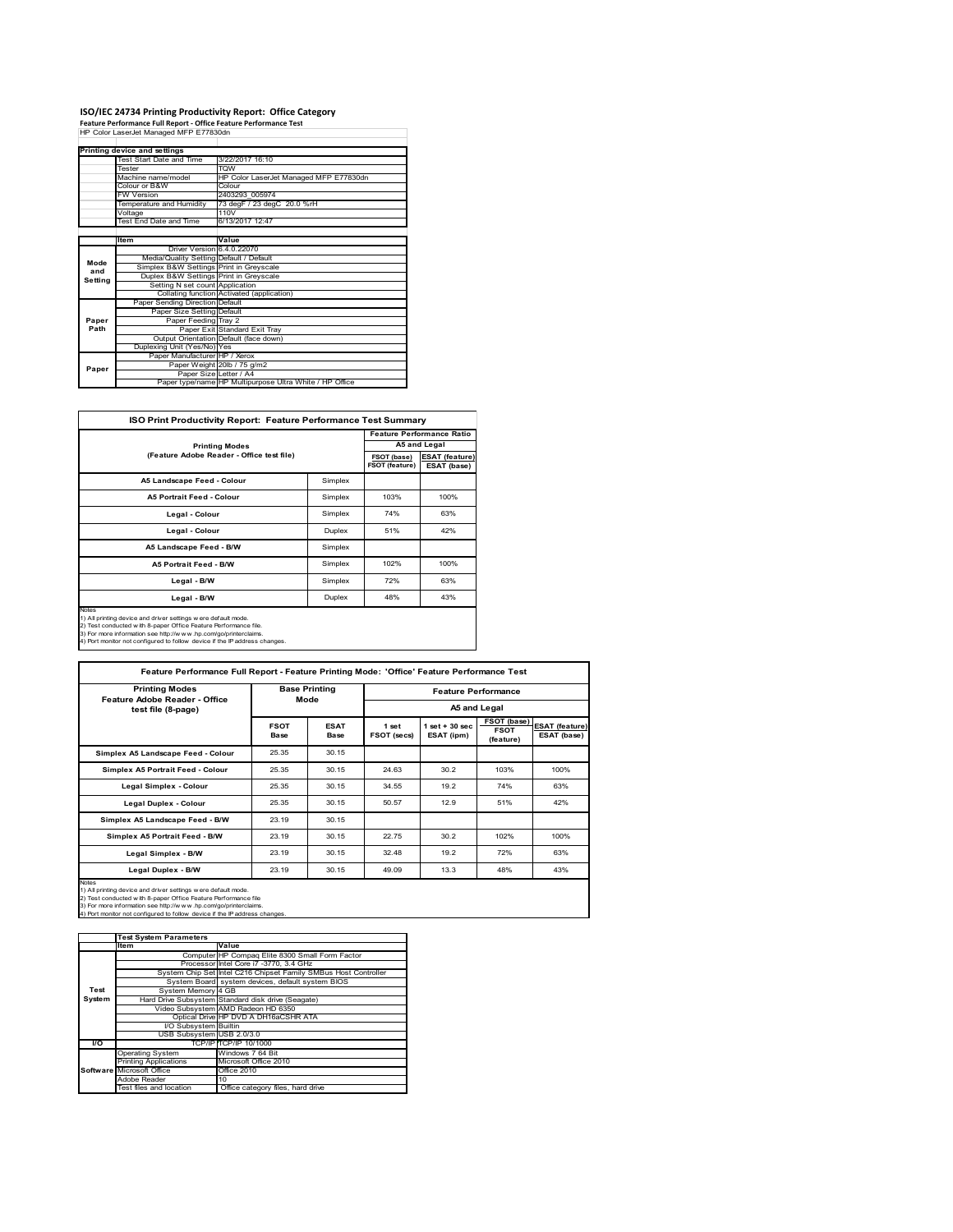# **ISO/IEC 24734 Printing Productivity Report: Office Category Feature Performance Full Report ‐ Office Feature Performance Test** HP Color LaserJet Managed MFP E77830dn

|         | Printing device and settings            |                                                         |
|---------|-----------------------------------------|---------------------------------------------------------|
|         | Test Start Date and Time                | 3/22/2017 16:10                                         |
|         | Tester                                  | <b>TOW</b>                                              |
|         | Machine name/model                      | HP Color LaserJet Managed MFP E77830dn                  |
|         | Colour or B&W                           | Colour                                                  |
|         | <b>FW Version</b>                       | 2403293 005974                                          |
|         | Temperature and Humidity                | 73 degF / 23 degC 20.0 %rH                              |
|         | Voltage                                 | 110V                                                    |
|         | Test End Date and Time                  | 6/13/2017 12:47                                         |
|         |                                         |                                                         |
|         | Item                                    | Value                                                   |
|         | Driver Version 6.4.0.22070              |                                                         |
| Mode    | Media/Quality Setting Default / Default |                                                         |
| and     | Simplex B&W Settings Print in Greyscale |                                                         |
| Setting | Duplex B&W Settings Print in Greyscale  |                                                         |
|         | Setting N set count Application         |                                                         |
|         |                                         | Collating function Activated (application)              |
|         | Paper Sending Direction Default         |                                                         |
|         | Paper Size Setting Default              |                                                         |
| Paper   | Paper Feeding Tray 2                    |                                                         |
| Path    |                                         | Paper Exit Standard Exit Tray                           |
|         |                                         | Output Orientation Default (face down)                  |
|         | Duplexing Unit (Yes/No) Yes             |                                                         |
|         | Paper Manufacturer HP / Xerox           |                                                         |
| Paper   |                                         | Paper Weight 20lb / 75 g/m2                             |
|         | Paper Size Letter / A4                  |                                                         |
|         |                                         | Paper type/name HP Multipurpose Ultra White / HP Office |

| ISO Print Productivity Report: Feature Performance Test Summary |  |  |
|-----------------------------------------------------------------|--|--|
|                                                                 |  |  |

| <b>ISO Print Productivity Report: Feature Performance Test Summary</b>                                                                                                                                                                                                                     |         |                               |                                      |  |
|--------------------------------------------------------------------------------------------------------------------------------------------------------------------------------------------------------------------------------------------------------------------------------------------|---------|-------------------------------|--------------------------------------|--|
|                                                                                                                                                                                                                                                                                            |         |                               | <b>Feature Performance Ratio</b>     |  |
| <b>Printing Modes</b>                                                                                                                                                                                                                                                                      |         |                               | A5 and Legal                         |  |
| (Feature Adobe Reader - Office test file)                                                                                                                                                                                                                                                  |         | FSOT (base)<br>FSOT (feature) | <b>ESAT (feature)</b><br>ESAT (base) |  |
| A5 Landscape Feed - Colour                                                                                                                                                                                                                                                                 | Simplex |                               |                                      |  |
| <b>A5 Portrait Feed - Colour</b>                                                                                                                                                                                                                                                           | Simplex | 103%                          | 100%                                 |  |
| Legal - Colour                                                                                                                                                                                                                                                                             | Simplex | 74%                           | 63%                                  |  |
| Legal - Colour                                                                                                                                                                                                                                                                             | Duplex  | 51%                           | 42%                                  |  |
| A5 Landscape Feed - B/W                                                                                                                                                                                                                                                                    | Simplex |                               |                                      |  |
| <b>A5 Portrait Feed - B/W</b>                                                                                                                                                                                                                                                              | Simplex | 102%                          | 100%                                 |  |
| Legal - B/W                                                                                                                                                                                                                                                                                | Simplex | 72%                           | 63%                                  |  |
| Legal - B/W                                                                                                                                                                                                                                                                                | Duplex  | 48%                           | 43%                                  |  |
| Notes<br>1) All printing device and driver settings were default mode.<br>2) Test conducted with 8-paper Office Feature Performance file.<br>3) For more information see http://www.hp.com/go/printerclaims.<br>4) Port monitor not configured to follow device if the IP address changes. |         |                               |                                      |  |

| <b>Printing Modes</b><br>Feature Adobe Reader - Office                                                                                                                                                                                                                                     | <b>Base Printing</b><br>Mode |                     | <b>Feature Performance</b> |                                  |                                         |                                      |
|--------------------------------------------------------------------------------------------------------------------------------------------------------------------------------------------------------------------------------------------------------------------------------------------|------------------------------|---------------------|----------------------------|----------------------------------|-----------------------------------------|--------------------------------------|
| test file (8-page)                                                                                                                                                                                                                                                                         |                              |                     | A5 and Legal               |                                  |                                         |                                      |
|                                                                                                                                                                                                                                                                                            | <b>FSOT</b><br>Base          | <b>ESAT</b><br>Base | 1 set<br>FSOT (secs)       | $1$ set $+30$ sec.<br>ESAT (ipm) | FSOT (base)<br><b>FSOT</b><br>(feature) | <b>ESAT (feature)</b><br>ESAT (base) |
| Simplex A5 Landscape Feed - Colour                                                                                                                                                                                                                                                         | 25.35                        | 30.15               |                            |                                  |                                         |                                      |
| Simplex A5 Portrait Feed - Colour                                                                                                                                                                                                                                                          | 25.35                        | 30.15               | 24.63                      | 30.2                             | 103%                                    | 100%                                 |
| Legal Simplex - Colour                                                                                                                                                                                                                                                                     | 25.35                        | 30.15               | 34.55                      | 19.2                             | 74%                                     | 63%                                  |
| <b>Legal Duplex - Colour</b>                                                                                                                                                                                                                                                               | 25.35                        | 30.15               | 50.57                      | 12.9                             | 51%                                     | 42%                                  |
| Simplex A5 Landscape Feed - B/W                                                                                                                                                                                                                                                            | 23.19                        | 30.15               |                            |                                  |                                         |                                      |
| Simplex A5 Portrait Feed - B/W                                                                                                                                                                                                                                                             | 23.19                        | 30.15               | 22.75                      | 30.2                             | 102%                                    | 100%                                 |
| Legal Simplex - B/W                                                                                                                                                                                                                                                                        | 23.19                        | 30.15               | 32.48                      | 19.2                             | 72%                                     | 63%                                  |
| Legal Duplex - B/W                                                                                                                                                                                                                                                                         | 23.19                        | 30.15               | 49.09                      | 13.3                             | 48%                                     | 43%                                  |
| Notes<br>1) All printing device and driver settings w ere default mode.<br>2) Test conducted with 8-paper Office Feature Performance file<br>3) For more information see http://www.hp.com/go/printerclaims.<br>4) Port monitor not configured to follow device if the IP address changes. |                              |                     |                            |                                  |                                         |                                      |

|        | <b>Test System Parameters</b> |                                                                 |
|--------|-------------------------------|-----------------------------------------------------------------|
|        | Item                          | Value                                                           |
|        |                               | Computer HP Compaq Elite 8300 Small Form Factor                 |
|        |                               | Processor Intel Core i7 -3770, 3.4 GHz                          |
|        |                               | System Chip Set Intel C216 Chipset Family SMBus Host Controller |
|        |                               | System Board system devices, default system BIOS                |
| Test   | System Memory 4 GB            |                                                                 |
| System |                               | Hard Drive Subsystem Standard disk drive (Seagate)              |
|        |                               | Video Subsystem AMD Radeon HD 6350                              |
|        |                               | Optical Drive HP DVD A DH16aCSHR ATA                            |
|        | I/O Subsystem Builtin         |                                                                 |
|        | USB Subsystem USB 2.0/3.0     |                                                                 |
| I/O    |                               | TCP/IPITCP/IP 10/1000                                           |
|        | <b>Operating System</b>       | Windows 7 64 Bit                                                |
|        | <b>Printing Applications</b>  | Microsoft Office 2010                                           |
|        | Software Microsoft Office     | Office 2010                                                     |
|        | Adobe Reader                  | 10                                                              |
|        | Test files and location       | Office category files, hard drive                               |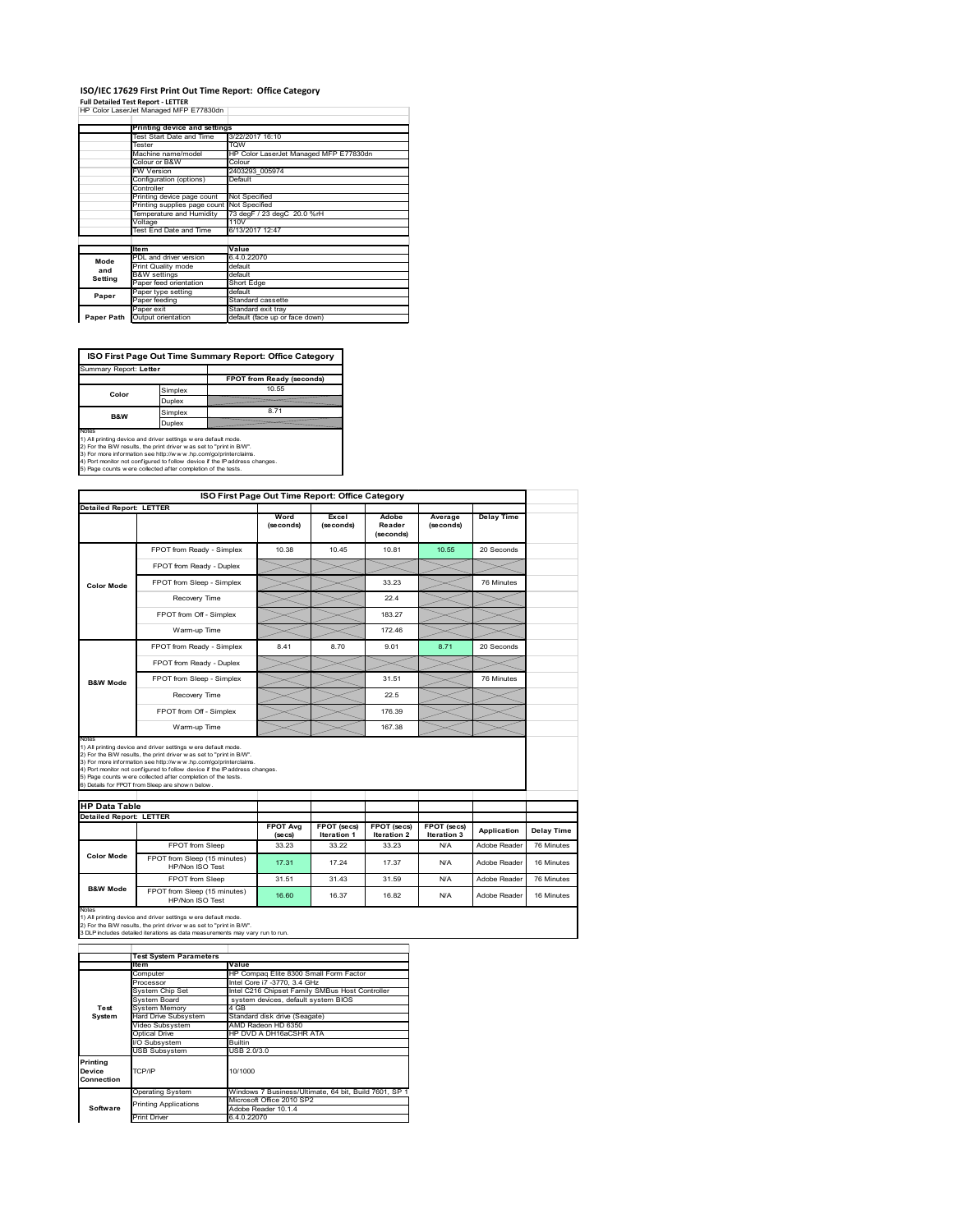### **ISO/IEC 17629 First Print Out Time Report: Office Category**

| <b>Full Detailed Test Report - LETTER</b> |
|-------------------------------------------|
| HP Color LaserJet Managed MFP E77830dn    |
|                                           |

|            | Printing device and settings |                                        |
|------------|------------------------------|----------------------------------------|
|            | Test Start Date and Time     | 3/22/2017 16:10                        |
|            | Tester                       | <b>TOW</b>                             |
|            | Machine name/model           | HP Color LaserJet Managed MFP E77830dn |
|            | Colour or B&W                | Colour                                 |
|            | <b>FW Version</b>            | 2403293 005974                         |
|            | Configuration (options)      | Default                                |
|            | Controller                   |                                        |
|            | Printing device page count   | Not Specified                          |
|            | Printing supplies page count | Not Specified                          |
|            | Temperature and Humidity     | 73 degF / 23 degC 20.0 %rH             |
|            | Voltage                      | 110V                                   |
|            | Test End Date and Time       | 6/13/2017 12:47                        |
|            |                              |                                        |
|            | <b>Item</b>                  | Value                                  |
| Mode       | PDL and driver version       | 6.4.0.22070                            |
| and        | Print Quality mode           | default                                |
| Setting    | <b>B&amp;W</b> settings      | default                                |
|            | Paper feed orientation       | Short Edge                             |
| Paper      | Paper type setting           | default                                |
|            | Paper feeding                | Standard cassette                      |
|            | Paper exit                   | Standard exit tray                     |
| Paper Path | Output orientation           | default (face up or face down)         |

**ISO First Page Out Time Summary Report: Office Category**

| Summary Report: Letter |         |                           |
|------------------------|---------|---------------------------|
|                        |         | FPOT from Ready (seconds) |
| Color                  | Simplex | 10.55                     |
|                        | Duplex  |                           |
| <b>B&amp;W</b>         | Simplex | 8.71                      |
|                        | Duplex  |                           |
| Notes                  |         |                           |

Notes<br>1) All printing device and driver settings were default mode.<br>2) For the BW results, the print driver was set to "print in BW".<br>3) For more information see http://www.hp.com/golprinterclaims.<br>4) Port montor not confi

|                                |                                                                                                                                                                                                                                                                                                                                                                                                              |                            | ISO First Page Out Time Report: Office Category |                                   |                            |                   |
|--------------------------------|--------------------------------------------------------------------------------------------------------------------------------------------------------------------------------------------------------------------------------------------------------------------------------------------------------------------------------------------------------------------------------------------------------------|----------------------------|-------------------------------------------------|-----------------------------------|----------------------------|-------------------|
| <b>Detailed Report: LETTER</b> |                                                                                                                                                                                                                                                                                                                                                                                                              |                            |                                                 |                                   |                            |                   |
|                                |                                                                                                                                                                                                                                                                                                                                                                                                              | Word<br>(seconds)          | Excel<br>(seconds)                              | Adobe<br>Reader<br>(seconds)      | Average<br>(seconds)       | <b>Delay Time</b> |
|                                | FPOT from Ready - Simplex                                                                                                                                                                                                                                                                                                                                                                                    | 10.38                      | 10.45                                           | 10.81                             | 10.55                      | 20 Seconds        |
|                                | FPOT from Ready - Duplex                                                                                                                                                                                                                                                                                                                                                                                     |                            |                                                 |                                   |                            |                   |
| <b>Color Mode</b>              | FPOT from Sleep - Simplex                                                                                                                                                                                                                                                                                                                                                                                    |                            |                                                 | 33 23                             |                            | 76 Minutes        |
|                                | Recovery Time                                                                                                                                                                                                                                                                                                                                                                                                |                            |                                                 | 224                               |                            |                   |
|                                | FPOT from Off - Simplex                                                                                                                                                                                                                                                                                                                                                                                      |                            |                                                 | 183.27                            |                            |                   |
|                                | Warm-up Time                                                                                                                                                                                                                                                                                                                                                                                                 |                            |                                                 | 172.46                            |                            |                   |
|                                | FPOT from Ready - Simplex                                                                                                                                                                                                                                                                                                                                                                                    | 8.41                       | 8.70                                            | 9.01                              | 8.71                       | 20 Seconds        |
|                                | FPOT from Ready - Duplex                                                                                                                                                                                                                                                                                                                                                                                     |                            |                                                 |                                   |                            |                   |
| <b>B&amp;W Mode</b>            | FPOT from Sleep - Simplex                                                                                                                                                                                                                                                                                                                                                                                    |                            |                                                 | 31.51                             |                            | 76 Minutes        |
|                                | Recovery Time                                                                                                                                                                                                                                                                                                                                                                                                |                            |                                                 | 22.5                              |                            |                   |
|                                |                                                                                                                                                                                                                                                                                                                                                                                                              |                            |                                                 |                                   |                            |                   |
|                                | FPOT from Off - Simplex                                                                                                                                                                                                                                                                                                                                                                                      |                            |                                                 | 176.39                            |                            |                   |
| Notes                          | Warm-up Time                                                                                                                                                                                                                                                                                                                                                                                                 |                            |                                                 | 167.38                            |                            |                   |
|                                | 1) All printing device and driver settings w ere default mode.<br>2) For the B/W results, the print driver w as set to "print in B/W".<br>3) For more information see http://www.hp.com/go/printerclaims.<br>4) Port monitor not configured to follow device if the IP address changes.<br>5) Page counts w ere collected after completion of the tests.<br>6) Details for FPOT from Sleep are show n below. |                            |                                                 |                                   |                            |                   |
| <b>HP Data Table</b>           |                                                                                                                                                                                                                                                                                                                                                                                                              |                            |                                                 |                                   |                            |                   |
| <b>Detailed Report: LETTER</b> |                                                                                                                                                                                                                                                                                                                                                                                                              |                            |                                                 |                                   |                            |                   |
|                                |                                                                                                                                                                                                                                                                                                                                                                                                              | <b>FPOT Avg</b><br>(se cs) | FPOT (secs)<br>Iteration 1                      | FPOT (secs)<br><b>Iteration 2</b> | FPOT (secs)<br>Iteration 3 | Application       |
|                                | FPOT from Sleep                                                                                                                                                                                                                                                                                                                                                                                              | 33.23                      | 33.22                                           | 33.23                             | N/A                        | Adobe Reader      |
| <b>Color Mode</b>              | FPOT from Sleep (15 minutes)<br>HP/Non ISO Test                                                                                                                                                                                                                                                                                                                                                              | 17.31                      | 17.24                                           | 17.37                             | N/A                        | Adobe Reader      |
|                                | FPOT from Sleep                                                                                                                                                                                                                                                                                                                                                                                              | 31.51                      | 31.43                                           | 31.59                             | N/A                        | Adobe Reader      |

1) All printing device and driver settings w ere default mode.<br>2) For the B/W results, the print driver w as set to "print in B/W".<br>3 DLP includes detailed iterations as data measurements may vary run to run.

|            | <b>Test System Parameters</b> |                                                       |  |  |
|------------|-------------------------------|-------------------------------------------------------|--|--|
|            | lte m                         | Value                                                 |  |  |
|            | Computer                      | HP Compag Elite 8300 Small Form Factor                |  |  |
|            | Processor                     | Intel Core i7 -3770, 3.4 GHz                          |  |  |
|            | System Chip Set               | Intel C216 Chipset Family SMBus Host Controller       |  |  |
|            | System Board                  | system devices, default system BIOS                   |  |  |
| Test       | <b>System Memory</b>          | 4 GB                                                  |  |  |
| System     | <b>Hard Drive Subsystem</b>   | Standard disk drive (Seagate)                         |  |  |
|            | Video Subsystem               | AMD Radeon HD 6350                                    |  |  |
|            | Optical Drive                 | HP DVD A DH16aCSHR ATA                                |  |  |
|            | I/O Subsystem                 | Builtin                                               |  |  |
|            | <b>USB Subsystem</b>          | USB 2.0/3.0                                           |  |  |
| Printing   |                               |                                                       |  |  |
| Device     | TCP/IP                        | 10/1000                                               |  |  |
| Connection |                               |                                                       |  |  |
|            | <b>Operating System</b>       | Windows 7 Business/Ultimate, 64 bit, Build 7601, SP 1 |  |  |
|            | <b>Printing Applications</b>  | Microsoft Office 2010 SP2                             |  |  |
| Software   |                               | Adobe Reader 10.1.4                                   |  |  |
|            | <b>Print Driver</b>           | 6.4.0.22070                                           |  |  |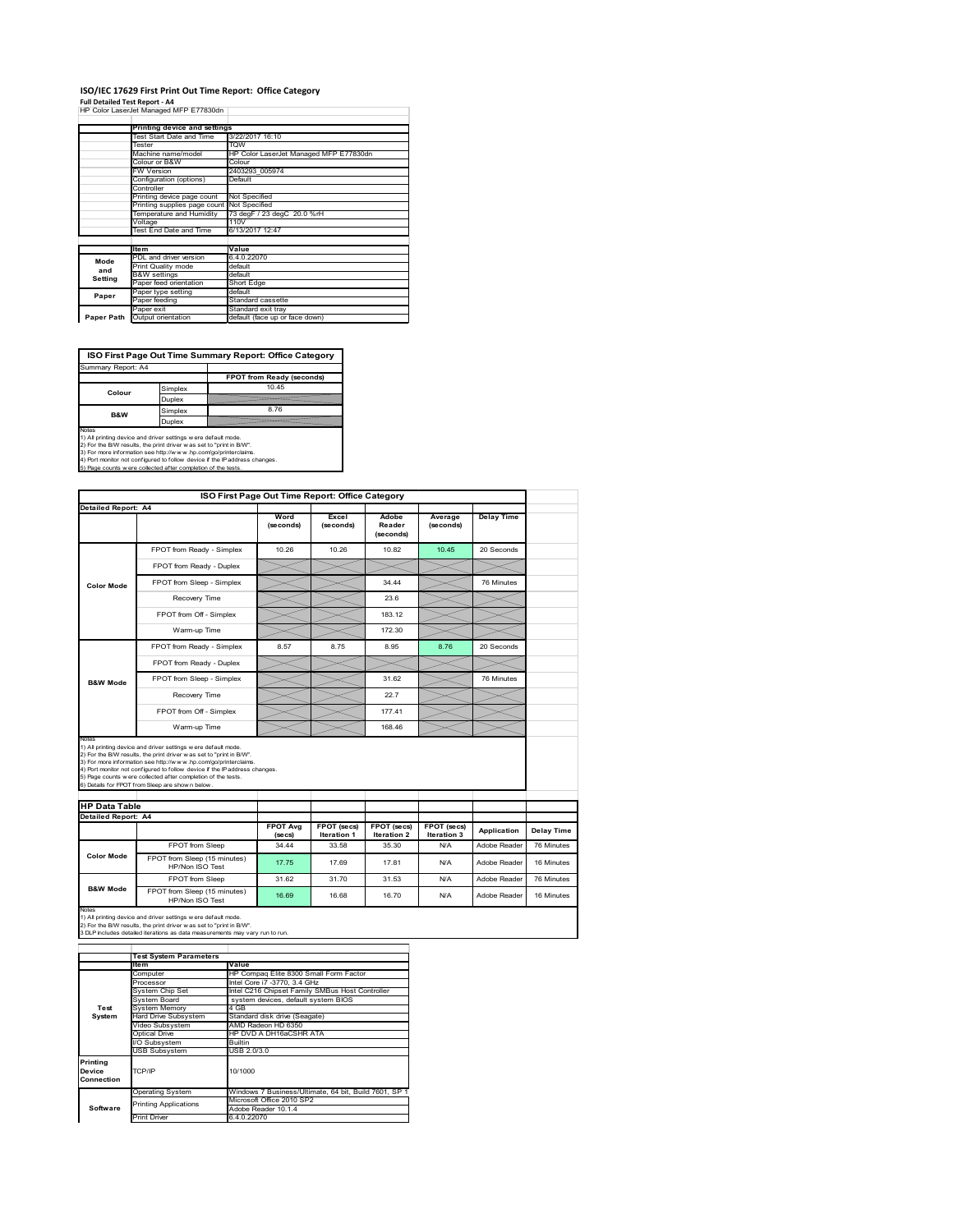### **ISO/IEC 17629 First Print Out Time Report: Office Category**

**Full Detailed Test Report ‐ A4** HP Color LaserJet Managed MFP E77830dn

|            | Printing device and settings               |                                        |
|------------|--------------------------------------------|----------------------------------------|
|            | Test Start Date and Time                   | 3/22/2017 16:10                        |
|            | Tester                                     | <b>TOW</b>                             |
|            | Machine name/model                         | HP Color LaserJet Managed MFP E77830dn |
|            | Colour or B&W                              | Colour                                 |
|            | FW Version                                 | 2403293 005974                         |
|            | Configuration (options)                    | Default                                |
|            | Controller                                 |                                        |
|            | Printing device page count                 | Not Specified                          |
|            | Printing supplies page count Not Specified |                                        |
|            | Temperature and Humidity                   | 73 degF / 23 degC 20.0 %rH             |
|            | Voltage                                    | 110V                                   |
|            | Test End Date and Time                     | 6/13/2017 12:47                        |
|            |                                            |                                        |
|            | <b>Item</b>                                | Value                                  |
| Mode       | PDL and driver version                     | 6.4.0.22070                            |
| and        | Print Quality mode                         | default                                |
| Setting    | <b>B&amp;W</b> settings                    | default                                |
|            | Paper feed orientation                     | Short Edge                             |
| Paper      | Paper type setting                         | default                                |
|            | Paper feeding                              | Standard cassette                      |
|            | Paper exit                                 | Standard exit tray                     |
| Paper Path | Output orientation                         | default (face up or face down)         |

**ISO First Page Out Time Summary Report: Office Category**

| Simplex<br>Colour<br>Duplex | FPOT from Ready (seconds)<br>10 45 |
|-----------------------------|------------------------------------|
|                             |                                    |
|                             |                                    |
|                             |                                    |
| Simplex<br><b>B&amp;W</b>   | 8.76                               |
| Duplex                      |                                    |

Notes<br>1) All printing device and driver settings were default mode.<br>2) For the BAV results, the print driver was set to "print in BAV".<br>3) For more information see http://www.hp.com/golprinterclaims.<br>4) Port monitor not co

|                                                    |                                                                                                                                                                                                                                                                                                                                                                                                             | ISO First Page Out Time Report: Office Category |                                   |                              |                            |                   |                          |
|----------------------------------------------------|-------------------------------------------------------------------------------------------------------------------------------------------------------------------------------------------------------------------------------------------------------------------------------------------------------------------------------------------------------------------------------------------------------------|-------------------------------------------------|-----------------------------------|------------------------------|----------------------------|-------------------|--------------------------|
| <b>Detailed Report: A4</b>                         |                                                                                                                                                                                                                                                                                                                                                                                                             | Word<br>(seconds)                               | Excel<br>(seconds)                | Adobe<br>Reader<br>(seconds) | Average<br>(seconds)       | <b>Delay Time</b> |                          |
|                                                    | FPOT from Ready - Simplex                                                                                                                                                                                                                                                                                                                                                                                   | 10.26                                           | 10.26                             | 10.82                        | 10.45                      | 20 Seconds        |                          |
|                                                    | FPOT from Ready - Duplex                                                                                                                                                                                                                                                                                                                                                                                    |                                                 |                                   |                              |                            |                   |                          |
| <b>Color Mode</b>                                  | FPOT from Sleep - Simplex                                                                                                                                                                                                                                                                                                                                                                                   |                                                 |                                   | 34 44                        |                            | 76 Minutes        |                          |
|                                                    | Recovery Time                                                                                                                                                                                                                                                                                                                                                                                               |                                                 |                                   | 23.6                         |                            |                   |                          |
|                                                    | FPOT from Off - Simplex                                                                                                                                                                                                                                                                                                                                                                                     |                                                 |                                   | 183.12                       |                            |                   |                          |
|                                                    | Warm-up Time                                                                                                                                                                                                                                                                                                                                                                                                |                                                 |                                   | 172.30                       |                            |                   |                          |
|                                                    | FPOT from Ready - Simplex                                                                                                                                                                                                                                                                                                                                                                                   | 8.57                                            | 8.75                              | 8.95                         | 8.76                       | 20 Seconds        |                          |
|                                                    | FPOT from Ready - Duplex                                                                                                                                                                                                                                                                                                                                                                                    |                                                 |                                   |                              |                            |                   |                          |
| <b>B&amp;W Mode</b>                                | FPOT from Sleep - Simplex                                                                                                                                                                                                                                                                                                                                                                                   |                                                 |                                   | 31.62                        |                            | 76 Minutes        |                          |
|                                                    | Recovery Time                                                                                                                                                                                                                                                                                                                                                                                               |                                                 |                                   | 227                          |                            |                   |                          |
|                                                    |                                                                                                                                                                                                                                                                                                                                                                                                             |                                                 |                                   |                              |                            |                   |                          |
|                                                    | FPOT from Off - Simplex                                                                                                                                                                                                                                                                                                                                                                                     |                                                 |                                   | 177.41                       |                            |                   |                          |
| Notes                                              | Warm-up Time                                                                                                                                                                                                                                                                                                                                                                                                |                                                 |                                   | 168.46                       |                            |                   |                          |
| <b>HP Data Table</b><br><b>Detailed Report: A4</b> | 1) All printing device and driver settings w ere default mode.<br>2) For the B/W results, the print driver was set to "print in B/W".<br>3) For more information see http://www.hp.com/go/printerclaims.<br>4) Port monitor not configured to follow device if the IP address changes.<br>5) Page counts w ere collected after completion of the tests.<br>6) Details for FPOT from Sleep are show n below. |                                                 |                                   |                              |                            |                   |                          |
|                                                    |                                                                                                                                                                                                                                                                                                                                                                                                             | <b>FPOT Ava</b><br>(se cs)                      | FPOT (secs)<br><b>Iteration 1</b> | FPOT (secs)<br>Iteration 2   | FPOT (secs)<br>Iteration 3 | Application       |                          |
|                                                    | FPOT from Sleep                                                                                                                                                                                                                                                                                                                                                                                             | 34.44                                           | 33.58                             | 35.30                        | N/A                        | Adobe Reader      | Delay Time<br>76 Minutes |
| <b>Color Mode</b>                                  | FPOT from Sleep (15 minutes)<br>HP/Non ISO Test                                                                                                                                                                                                                                                                                                                                                             | 17.75                                           | 17.69                             | 17.81                        | N/A                        | Adobe Reader      | 16 Minutes               |
| <b>B&amp;W Mode</b>                                | FPOT from Sleep                                                                                                                                                                                                                                                                                                                                                                                             | 31.62                                           | 31.70                             | 31.53                        | N/A                        | Adobe Reader      | 76 Minutes               |

1) All printing device and driver settings w ere default mode.<br>2) For the B/W results, the print driver w as set to "print in B/W".<br>3 DLP includes detailed iterations as data measurements may vary run to run.

|            | <b>Test System Parameters</b> |                                                       |  |  |
|------------|-------------------------------|-------------------------------------------------------|--|--|
|            | <b>Item</b>                   | Value                                                 |  |  |
|            | Computer                      | HP Compag Elite 8300 Small Form Factor                |  |  |
|            | Processor                     | Intel Core i7 -3770, 3.4 GHz                          |  |  |
|            | System Chip Set               | Intel C216 Chipset Family SMBus Host Controller       |  |  |
|            | System Board                  | system devices, default system BIOS                   |  |  |
| Test       | <b>System Memory</b>          | 4 GB                                                  |  |  |
| System     | Hard Drive Subsystem          | Standard disk drive (Seagate)                         |  |  |
|            | Video Subsystem               | AMD Radeon HD 6350                                    |  |  |
|            | Optical Drive                 | HP DVD A DH16aCSHR ATA                                |  |  |
|            | I/O Subsystem                 | <b>Builtin</b>                                        |  |  |
|            | <b>USB Subsystem</b>          | USB 2.0/3.0                                           |  |  |
| Printing   |                               |                                                       |  |  |
| Device     | TCP/IP                        | 10/1000                                               |  |  |
| Connection |                               |                                                       |  |  |
|            | <b>Operating System</b>       | Windows 7 Business/Ultimate, 64 bit, Build 7601, SP 1 |  |  |
|            | <b>Printing Applications</b>  | Microsoft Office 2010 SP2                             |  |  |
| Software   |                               | Adobe Reader 10.1.4                                   |  |  |
|            | <b>Print Driver</b>           | 6.4.0.22070                                           |  |  |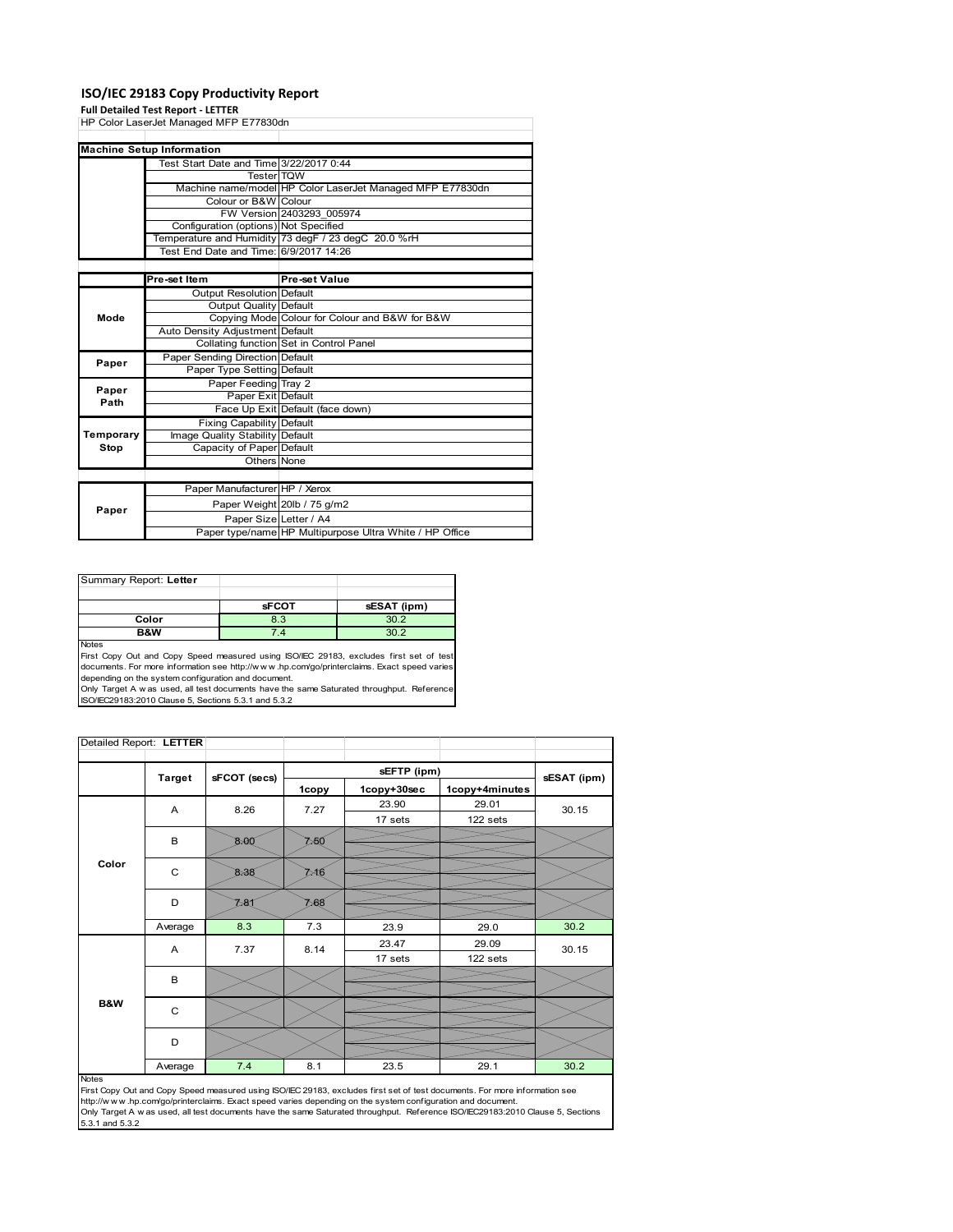### **ISO/IEC 29183 Copy Productivity Report**

#### **Full Detailed Test Report ‐ LETTER**

|           | HP Color LaserJet Managed MFP E77830dn  |                                                           |
|-----------|-----------------------------------------|-----------------------------------------------------------|
|           |                                         |                                                           |
|           | <b>Machine Setup Information</b>        |                                                           |
|           | Test Start Date and Time 3/22/2017 0:44 |                                                           |
|           | <b>Tester</b> TQW                       |                                                           |
|           |                                         | Machine name/model HP Color LaserJet Managed MFP E77830dn |
|           | Colour or B&W Colour                    |                                                           |
|           |                                         | FW Version 2403293 005974                                 |
|           | Configuration (options) Not Specified   |                                                           |
|           |                                         | Temperature and Humidity 73 degF / 23 degC 20.0 %rH       |
|           | Test End Date and Time:                 | 6/9/2017 14:26                                            |
|           |                                         |                                                           |
|           | Pre-set Item                            | Pre-set Value                                             |
|           | <b>Output Resolution Default</b>        |                                                           |
|           | <b>Output Quality Default</b>           |                                                           |
| Mode      |                                         | Copying Mode Colour for Colour and B&W for B&W            |
|           | Auto Density Adjustment Default         |                                                           |
|           |                                         | Collating function Set in Control Panel                   |
| Paper     | Paper Sending Direction Default         |                                                           |
|           | Paper Type Setting Default              |                                                           |
| Paper     | Paper Feeding Tray 2                    |                                                           |
| Path      | Paper Exit Default                      |                                                           |
|           |                                         | Face Up Exit Default (face down)                          |
|           | <b>Fixing Capability Default</b>        |                                                           |
| Temporary | Image Quality Stability Default         |                                                           |
| Stop      | Capacity of Paper Default               |                                                           |
|           | Others None                             |                                                           |
|           |                                         |                                                           |
|           | Paper Manufacturer HP / Xerox           |                                                           |
|           |                                         | Paper Weight 20lb / 75 g/m2                               |
| Paper     | Paper Size Letter / A4                  |                                                           |
|           |                                         | Paper type/name HP Multipurpose Ultra White / HP Office   |

| Summary Report: Letter |              |             |
|------------------------|--------------|-------------|
|                        |              |             |
|                        | <b>sFCOT</b> | sESAT (ipm) |
| Color                  | 8.3          | 302         |
| B&W                    | 7.4          | 30 P        |
| .                      |              |             |

Notes<br>First Copy Out and Copy Speed measured using ISO/IEC 29183, excludes first set of test<br>documents. For more information see http://www..hp.com/go/printerclaims. Exact speed varies

depending on the system configuration and document.<br>Only Target A w as used, all test documents have the same Saturated throughput. Reference<br>ISO/IEC29183:2010 Clause 5, Sections 5.3.1 and 5.3.2

| Detailed Report: LETTER |               |              |       |             |                |       |
|-------------------------|---------------|--------------|-------|-------------|----------------|-------|
|                         | <b>Target</b> | sFCOT (secs) |       | sESAT (ipm) |                |       |
|                         |               |              | 1copy | 1copy+30sec | 1copy+4minutes |       |
|                         | A             | 8.26         | 7.27  | 23.90       | 29.01          | 30.15 |
|                         |               |              |       | 17 sets     | 122 sets       |       |
|                         | B             | 8.00         | ≿ছ০   |             |                |       |
| Color                   | C             | 8-38         | ≫16   |             |                |       |
|                         | D             | 281          | 7,68  |             |                |       |
|                         | Average       | 8.3          | 7.3   | 23.9        | 29.0           | 30.2  |
|                         | A             | 7.37         | 8.14  | 23.47       | 29.09          | 30.15 |
|                         |               |              |       | 17 sets     | 122 sets       |       |
|                         | B             |              |       |             |                |       |
| B&W                     | C             |              |       |             |                |       |
|                         | D             |              |       |             |                |       |
|                         | Average       | 7.4          | 8.1   | 23.5        | 29.1           | 30.2  |

#### Notes

First Copy Out and Copy Speed measured using ISO/IEC 29183, excludes first set of test documents. For more information see<br>http://w w w.hp.com/go/printerclaims. Exact speed varies depending on the system configuration and 5.3.1 and 5.3.2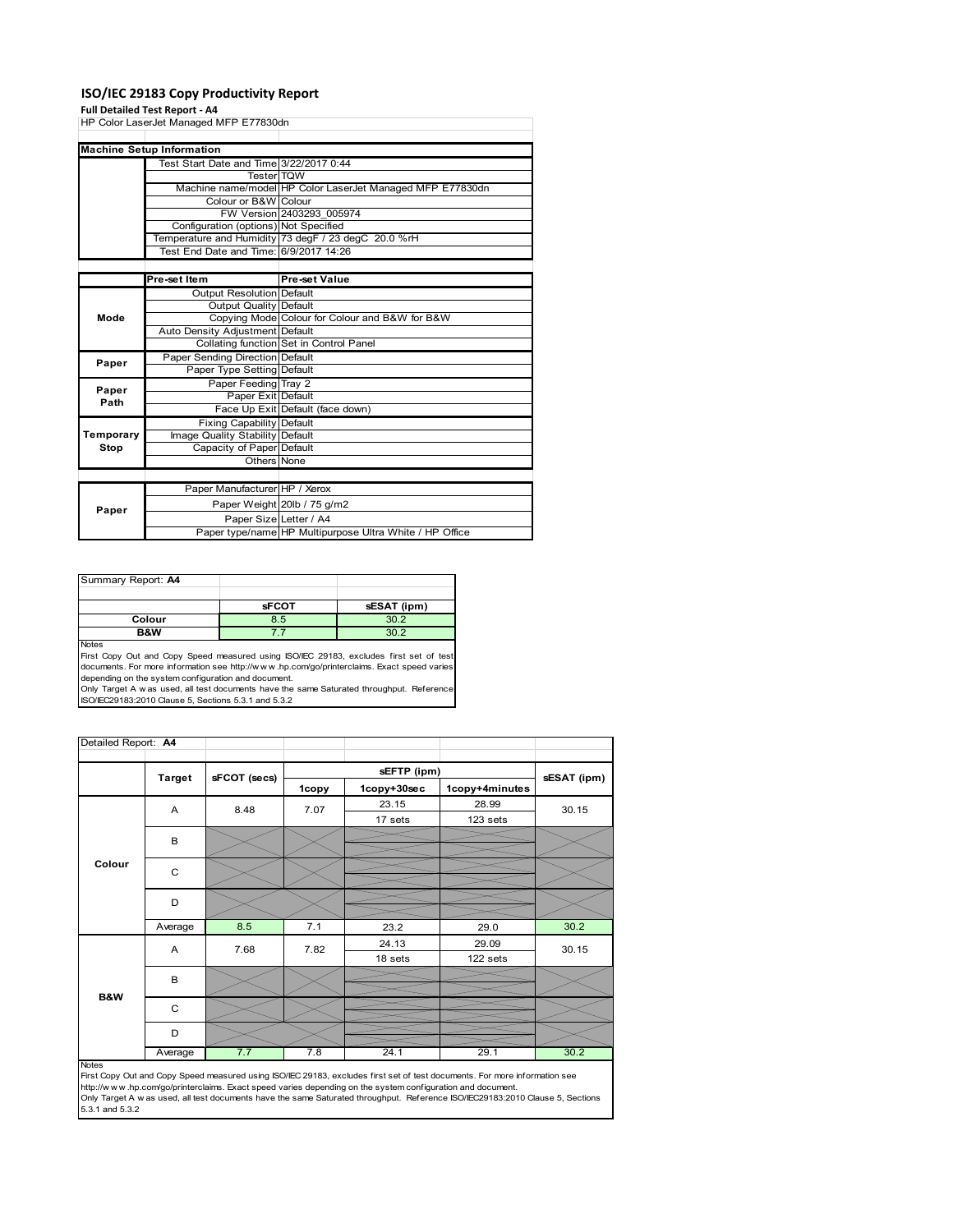### **ISO/IEC 29183 Copy Productivity Report**

#### **Full Detailed Test Report ‐ A4**

|           | HP Color LaserJet Managed MFP E77830dn  |                                                           |
|-----------|-----------------------------------------|-----------------------------------------------------------|
|           |                                         |                                                           |
|           | <b>Machine Setup Information</b>        |                                                           |
|           | Test Start Date and Time 3/22/2017 0:44 |                                                           |
|           | Tester TQW                              |                                                           |
|           |                                         | Machine name/model HP Color LaserJet Managed MFP E77830dn |
|           | Colour or B&W Colour                    |                                                           |
|           |                                         | FW Version 2403293 005974                                 |
|           | Configuration (options) Not Specified   |                                                           |
|           |                                         | Temperature and Humidity 73 degF / 23 degC 20.0 %rH       |
|           | Test End Date and Time: 6/9/2017 14:26  |                                                           |
|           |                                         |                                                           |
|           | Pre-set Item                            | <b>Pre-set Value</b>                                      |
|           | <b>Output Resolution Default</b>        |                                                           |
|           | Output Quality Default                  |                                                           |
| Mode      |                                         | Copying Mode Colour for Colour and B&W for B&W            |
|           | Auto Density Adjustment Default         |                                                           |
|           |                                         | Collating function Set in Control Panel                   |
| Paper     | Paper Sending Direction Default         |                                                           |
|           | Paper Type Setting Default              |                                                           |
| Paper     | Paper Feeding Tray 2                    |                                                           |
| Path      | Paper Exit Default                      |                                                           |
|           |                                         | Face Up Exit Default (face down)                          |
|           | <b>Fixing Capability Default</b>        |                                                           |
| Temporary | Image Quality Stability Default         |                                                           |
| Stop      | Capacity of Paper Default               |                                                           |
|           | Others None                             |                                                           |
|           |                                         |                                                           |
|           | Paper Manufacturer HP / Xerox           |                                                           |
| Paper     |                                         | Paper Weight 20lb / 75 g/m2                               |
|           | Paper Size Letter / A4                  |                                                           |
|           |                                         | Paper type/name HP Multipurpose Ultra White / HP Office   |

| Summary Report: A4 |              |             |
|--------------------|--------------|-------------|
|                    |              |             |
|                    | <b>sFCOT</b> | sESAT (ipm) |
| Colour             | 8.5          | 30.2        |
| B&W                |              | 302         |
| <b>Nickon</b>      |              |             |

Notes<br>First Copy Out and Copy Speed measured using ISO/IEC 29183, excludes first set of test<br>documents. For more information see http://www..hp.com/go/printerclaims. Exact speed varies

depending on the system configuration and document.<br>Only Target A w as used, all test documents have the same Saturated throughput. Reference<br>ISO/IEC29183:2010 Clause 5, Sections 5.3.1 and 5.3.2

| Detailed Report: A4 |               |              |       |             |                |             |
|---------------------|---------------|--------------|-------|-------------|----------------|-------------|
|                     |               |              |       | sEFTP (ipm) |                |             |
|                     | <b>Target</b> | sFCOT (secs) | 1copy | 1copy+30sec | 1copy+4minutes | sESAT (ipm) |
|                     | A             | 8.48         | 7.07  | 23.15       | 28.99          | 30.15       |
|                     |               |              |       | 17 sets     | 123 sets       |             |
|                     | B             |              |       |             |                |             |
|                     |               |              |       |             |                |             |
| Colour              | $\mathsf{C}$  |              |       |             |                |             |
|                     |               |              |       |             |                |             |
|                     | D             |              |       |             |                |             |
|                     |               |              |       |             |                |             |
|                     | Average       | 8.5          | 7.1   | 23.2        | 29.0           | 30.2        |
|                     | A             | 7.68         | 7.82  | 24.13       | 29.09          | 30.15       |
|                     |               |              |       | 18 sets     | 122 sets       |             |
|                     | B             |              |       |             |                |             |
| B&W                 |               |              |       |             |                |             |
|                     | C             |              |       |             |                |             |
|                     |               |              |       |             |                |             |
|                     | D             |              |       |             |                |             |
|                     | Average       | 7.7          | 7.8   | 24.1        | 29.1           | 30.2        |

Average 7.7 7 7.8 24.1 29.1 30.2<br>
First Copy Out and Copy Speed measured using ISO/IEC 29183, excludes first set of test documents. For more information see<br>
First://www.hp.com/go/printerclaims. Exact speed varies dependin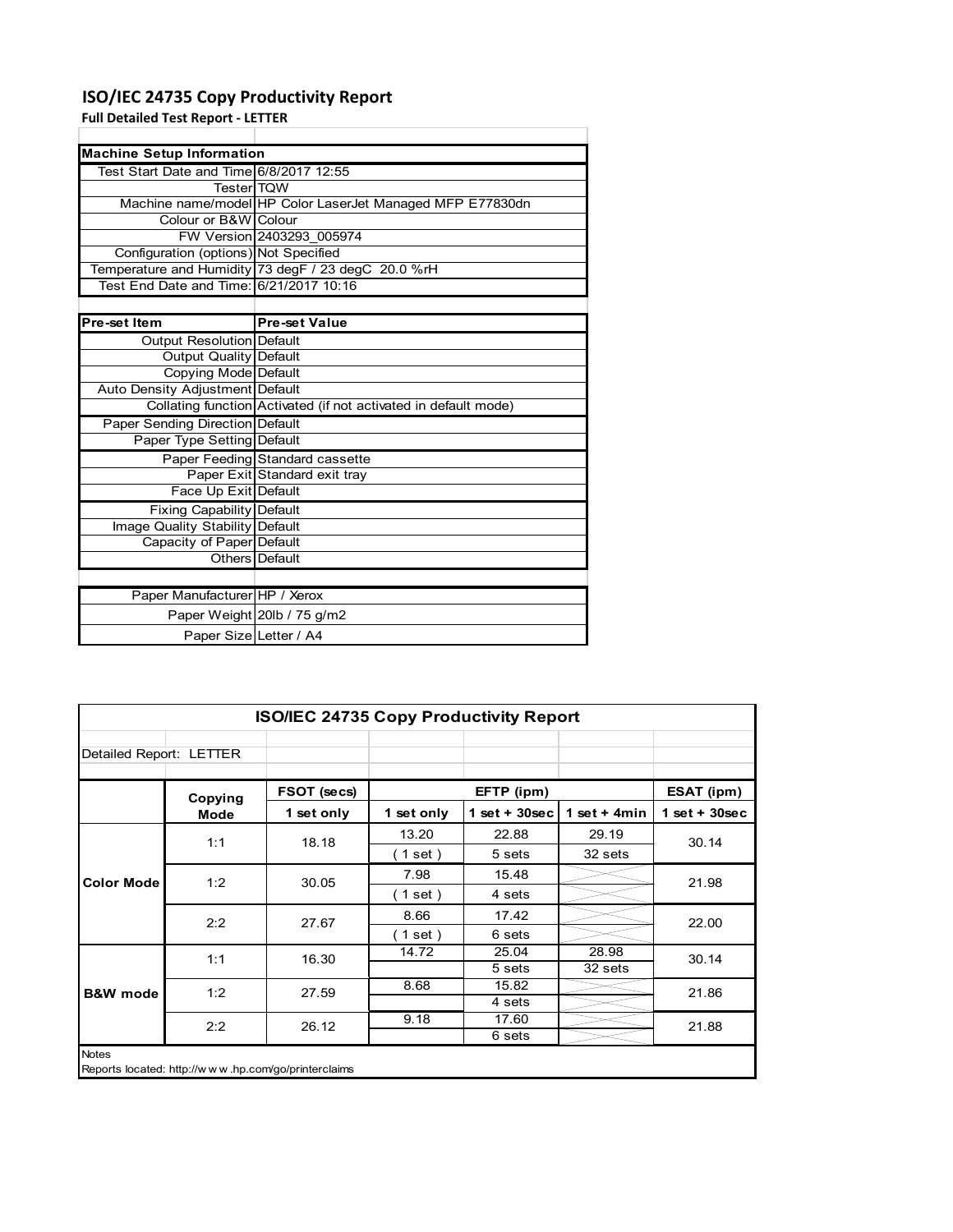### **ISO/IEC 24735 Copy Productivity Report**

Paper Size Letter / A4

**Full Detailed Test Report ‐ LETTER**

| <b>Machine Setup Information</b>        |                                                                 |  |
|-----------------------------------------|-----------------------------------------------------------------|--|
| Test Start Date and Time 6/8/2017 12:55 |                                                                 |  |
| <b>Tester</b> TOW                       |                                                                 |  |
|                                         | Machine name/model HP Color LaserJet Managed MFP E77830dn       |  |
| Colour or B&W Colour                    |                                                                 |  |
|                                         | FW Version 2403293 005974                                       |  |
| Configuration (options) Not Specified   |                                                                 |  |
|                                         | Temperature and Humidity 73 degF / 23 degC 20.0 %rH             |  |
| Test End Date and Time: 6/21/2017 10:16 |                                                                 |  |
|                                         |                                                                 |  |
| Pre-set Item                            | <b>Pre-set Value</b>                                            |  |
| <b>Output Resolution Default</b>        |                                                                 |  |
| Output Quality Default                  |                                                                 |  |
| Copying Mode Default                    |                                                                 |  |
| Auto Density Adjustment Default         |                                                                 |  |
|                                         | Collating function Activated (if not activated in default mode) |  |
| <b>Paper Sending Direction Default</b>  |                                                                 |  |
| Paper Type Setting Default              |                                                                 |  |
|                                         | Paper Feeding Standard cassette                                 |  |
|                                         | Paper Exit Standard exit tray                                   |  |
| Face Up Exit Default                    |                                                                 |  |
| <b>Fixing Capability Default</b>        |                                                                 |  |
| Image Quality Stability Default         |                                                                 |  |
| Capacity of Paper Default               |                                                                 |  |
|                                         | Others Default                                                  |  |
|                                         |                                                                 |  |
| Paper Manufacturer HP / Xerox           |                                                                 |  |
|                                         | Paper Weight 20lb / 75 g/m2                                     |  |

| ISO/IEC 24735 Copy Productivity Report |                                                     |             |                          |                 |                 |                 |
|----------------------------------------|-----------------------------------------------------|-------------|--------------------------|-----------------|-----------------|-----------------|
| Detailed Report: LETTER                |                                                     |             |                          |                 |                 |                 |
|                                        | Copying                                             | FSOT (secs) |                          | EFTP (ipm)      |                 | ESAT (ipm)      |
|                                        | <b>Mode</b>                                         | 1 set only  | 1 set only               | $1$ set + 30sec | 1 set $+$ 4 min | $1$ set + 30sec |
|                                        | 1:1                                                 | 18.18       | 13.20                    | 22.88           | 29.19           | 30.14           |
|                                        |                                                     | $1$ set $)$ | 5 sets                   | 32 sets         |                 |                 |
| 1:2<br><b>Color Mode</b>               | 30.05                                               | 7.98        | 15.48                    |                 | 21.98           |                 |
|                                        |                                                     |             | $1$ set $)$              | 4 sets          |                 |                 |
|                                        | 2:2                                                 | 27.67       | 8.66                     | 17.42           |                 | 22.00           |
|                                        |                                                     |             | $\left( 1$ set $\right)$ | 6 sets          |                 |                 |
|                                        | 1:1                                                 | 16.30       | 14.72                    | 25.04           | 28.98           | 30.14           |
|                                        |                                                     |             |                          | 5 sets          | 32 sets         |                 |
| <b>B&amp;W</b> mode                    | 1:2                                                 | 27.59       | 8.68                     | 15.82           |                 | 21.86           |
|                                        |                                                     |             |                          | 4 sets          |                 |                 |
|                                        | 2:2                                                 | 26.12       | 9.18                     | 17.60           |                 | 21.88           |
|                                        |                                                     |             |                          | 6 sets          |                 |                 |
| <b>Notes</b>                           | Reports located: http://www.hp.com/go/printerclaims |             |                          |                 |                 |                 |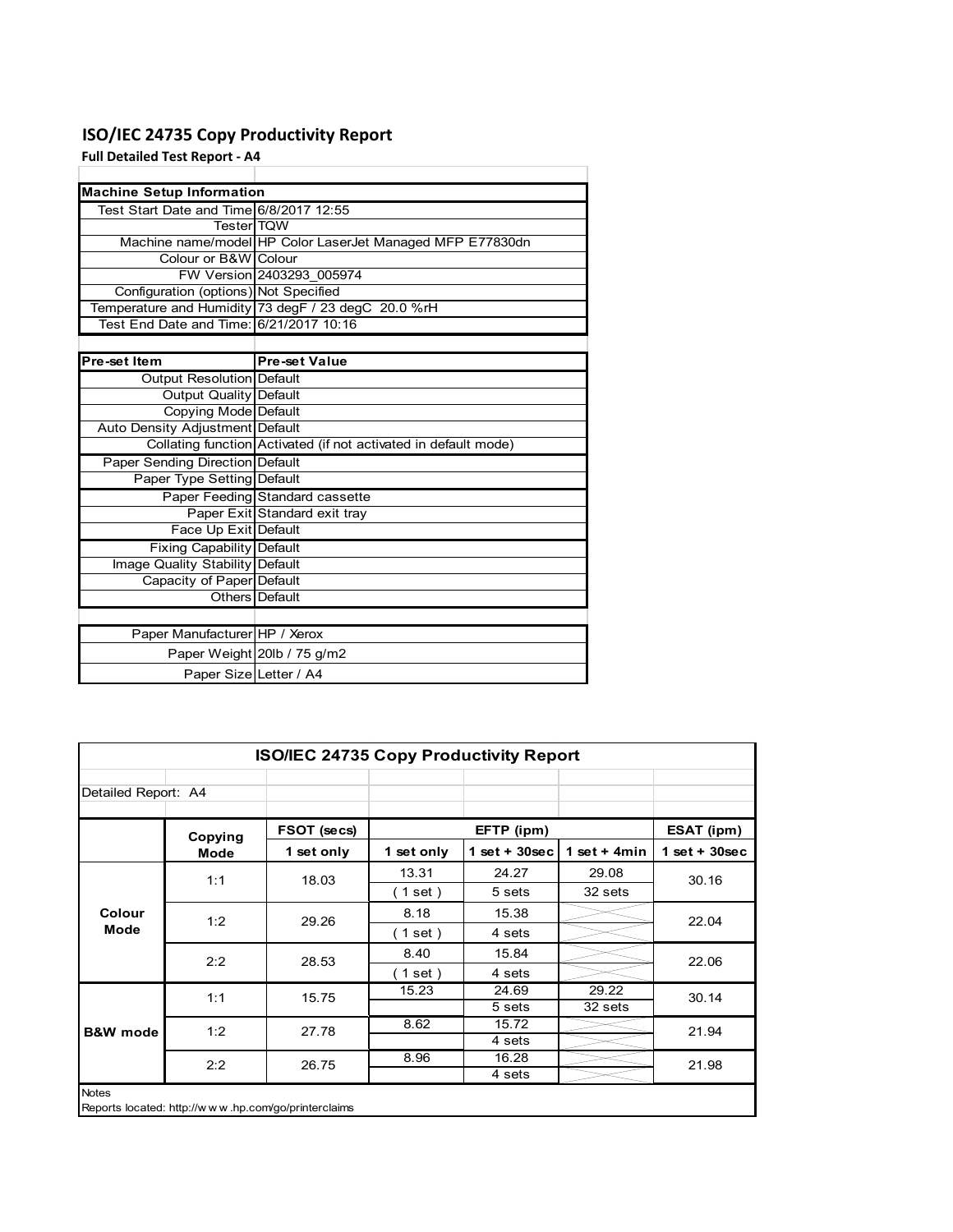### **ISO/IEC 24735 Copy Productivity Report**

**Full Detailed Test Report ‐ A4**

| <b>Machine Setup Information</b>        |                                                                 |
|-----------------------------------------|-----------------------------------------------------------------|
| Test Start Date and Time 6/8/2017 12:55 |                                                                 |
| <b>Tester</b> TOW                       |                                                                 |
|                                         | Machine name/model HP Color LaserJet Managed MFP E77830dn       |
| Colour or B&W Colour                    |                                                                 |
|                                         | FW Version 2403293 005974                                       |
| Configuration (options) Not Specified   |                                                                 |
|                                         | Temperature and Humidity 73 degF / 23 degC 20.0 %rH             |
| Test End Date and Time: 6/21/2017 10:16 |                                                                 |
|                                         |                                                                 |
| Pre-set Item                            | <b>Pre-set Value</b>                                            |
| Output Resolution Default               |                                                                 |
| <b>Output Quality Default</b>           |                                                                 |
| Copying Mode Default                    |                                                                 |
| Auto Density Adjustment Default         |                                                                 |
|                                         | Collating function Activated (if not activated in default mode) |
| Paper Sending Direction Default         |                                                                 |
| Paper Type Setting Default              |                                                                 |
|                                         | Paper Feeding Standard cassette                                 |
|                                         | Paper Exit Standard exit tray                                   |
| Face Up Exit Default                    |                                                                 |
| <b>Fixing Capability Default</b>        |                                                                 |
| Image Quality Stability Default         |                                                                 |
| Capacity of Paper Default               |                                                                 |
|                                         | Others Default                                                  |
|                                         |                                                                 |
| Paper Manufacturer HP / Xerox           |                                                                 |
|                                         | Paper Weight 20lb / 75 g/m2                                     |
| Paper Size Letter / A4                  |                                                                 |

| <b>ISO/IEC 24735 Copy Productivity Report</b> |                                                     |             |                          |                  |                |                 |  |
|-----------------------------------------------|-----------------------------------------------------|-------------|--------------------------|------------------|----------------|-----------------|--|
| Detailed Report: A4                           |                                                     |             |                          |                  |                |                 |  |
|                                               | Copying                                             | FSOT (secs) |                          | EFTP (ipm)       |                | ESAT (ipm)      |  |
|                                               | Mode                                                | 1 set only  | 1 set only               | 1 set + $30$ sec | 1 set + $4min$ | $1$ set + 30sec |  |
|                                               |                                                     | 18.03       | 13.31                    | 24.27            | 29.08          | 30.16           |  |
|                                               | 1:1                                                 |             | (1 set)                  | 5 sets           | 32 sets        |                 |  |
| Colour                                        | 1:2                                                 | 29.26       | 8.18                     | 15.38            |                | 22.04           |  |
| Mode                                          |                                                     |             | $\left( 1$ set $\right)$ | 4 sets           |                |                 |  |
|                                               | 2:2                                                 | 28.53       | 8.40                     | 15.84            |                | 22.06           |  |
|                                               |                                                     |             | (1 set)                  | 4 sets           |                |                 |  |
|                                               | 1:1                                                 | 15.75       | 15.23                    | 24.69            | 29.22          | 30.14           |  |
|                                               |                                                     |             |                          | 5 sets           | 32 sets        |                 |  |
| <b>B&amp;W</b> mode                           | 1:2                                                 | 27.78       | 8.62                     | 15.72            |                | 21.94           |  |
|                                               |                                                     |             |                          | 4 sets           |                |                 |  |
|                                               | 2:2                                                 | 26.75       | 8.96                     | 16.28            |                | 21.98           |  |
|                                               |                                                     |             |                          | 4 sets           |                |                 |  |
| <b>Notes</b>                                  | Reports located: http://www.hp.com/go/printerclaims |             |                          |                  |                |                 |  |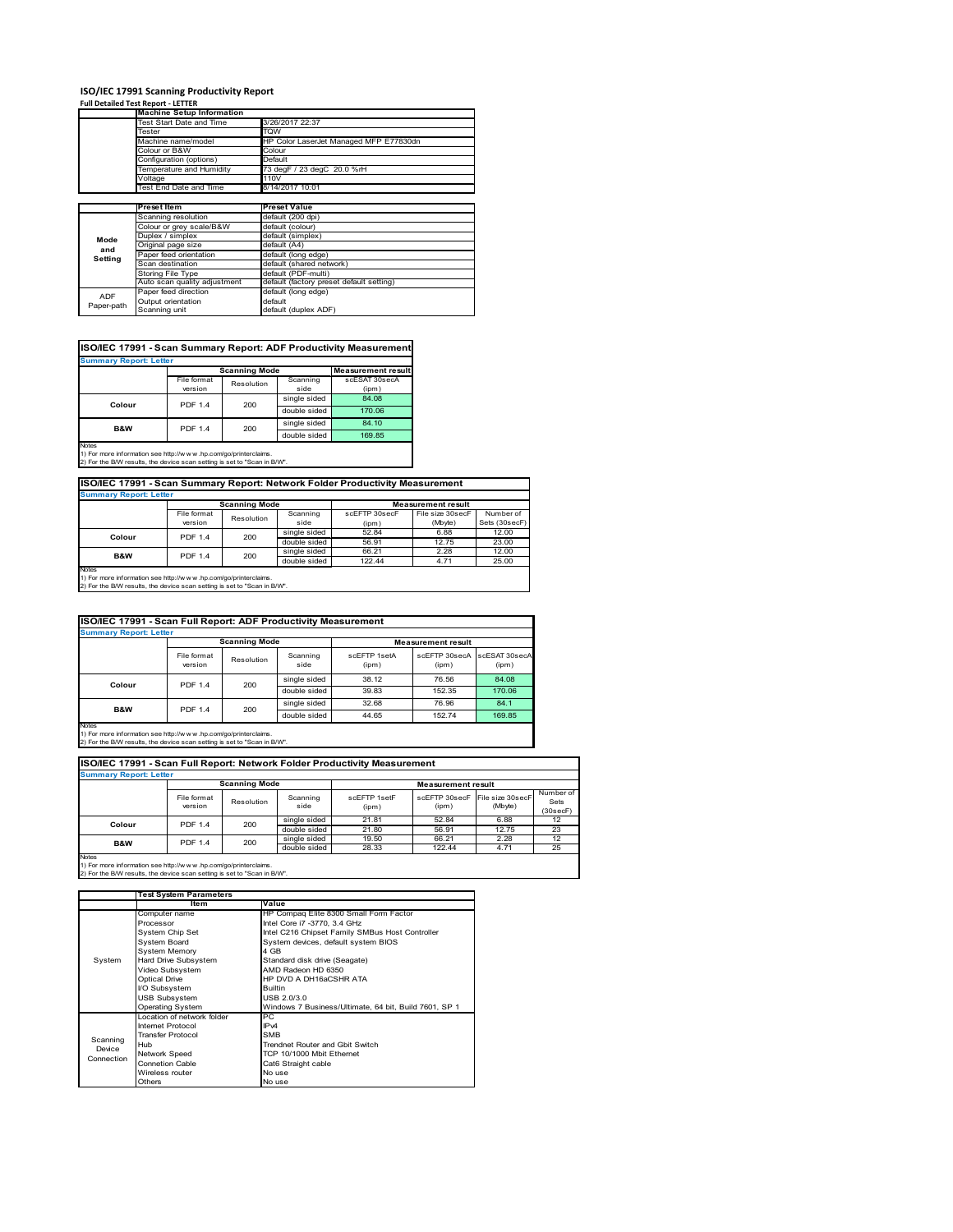# **ISO/IEC 17991 Scanning Productivity Report Full Detailed Test Report ‐ LETTER Machine Setup Information**

|            | <b>Machine Setup Information</b> |                                          |  |  |  |  |  |
|------------|----------------------------------|------------------------------------------|--|--|--|--|--|
|            | Test Start Date and Time         | 3/26/2017 22:37                          |  |  |  |  |  |
|            | Tester                           | TQW                                      |  |  |  |  |  |
|            | Machine name/model               | HP Color LaserJet Managed MFP E77830dn   |  |  |  |  |  |
|            | Colour or B&W                    | Colour                                   |  |  |  |  |  |
|            | Configuration (options)          | Default                                  |  |  |  |  |  |
|            | Temperature and Humidity         | 73 degF / 23 degC 20.0 %rH               |  |  |  |  |  |
|            | Voltage                          | 110V                                     |  |  |  |  |  |
|            | Test End Date and Time           | 8/14/2017 10:01                          |  |  |  |  |  |
|            |                                  |                                          |  |  |  |  |  |
|            | <b>Preset Item</b>               | <b>Preset Value</b>                      |  |  |  |  |  |
|            | Scanning resolution              | default (200 dpi)                        |  |  |  |  |  |
|            | Colour or grey scale/B&W         | default (colour)                         |  |  |  |  |  |
| Mode       | Duplex / simplex                 | default (simplex)                        |  |  |  |  |  |
| and        | Original page size               | default (A4)                             |  |  |  |  |  |
| Setting    | Paper feed orientation           | default (long edge)                      |  |  |  |  |  |
|            | Scan destination                 | default (shared network)                 |  |  |  |  |  |
|            | <b>Storing File Type</b>         | default (PDF-multi)                      |  |  |  |  |  |
|            | Auto scan quality adjustment     | default (factory preset default setting) |  |  |  |  |  |
| <b>ADF</b> | Paper feed direction             | default (long edge)                      |  |  |  |  |  |
|            | Output orientation               | default                                  |  |  |  |  |  |
| Paper-path | Scanning unit                    | default (duplex ADF)                     |  |  |  |  |  |

| ISO/IEC 17991 - Scan Summary Report: ADF Productivity Measurement |                |                      |              |                           |  |  |
|-------------------------------------------------------------------|----------------|----------------------|--------------|---------------------------|--|--|
| <b>Summary Report: Letter</b>                                     |                |                      |              |                           |  |  |
|                                                                   |                | <b>Scanning Mode</b> |              | <b>Measurement result</b> |  |  |
|                                                                   | File format    | Resolution           |              | scESAT 30secA             |  |  |
|                                                                   | version        |                      | side         | (ipm)                     |  |  |
| Colour                                                            | <b>PDF 1.4</b> | 200                  | single sided | 84.08                     |  |  |
|                                                                   |                |                      | double sided | 170.06                    |  |  |
| <b>B&amp;W</b>                                                    | <b>PDF 1.4</b> | 200                  | single sided | 84.10                     |  |  |
|                                                                   |                |                      | double sided | 169.85                    |  |  |
| <b>Notes</b>                                                      |                |                      |              |                           |  |  |

Notes 1) For more information see http://w w w .hp.com/go/printerclaims. 2) For the B/W results, the device scan setting is set to "Scan in B/W".

#### **ISO/IEC 17991 - Scan Summary Report: Network Folder Productivity Measurement**

| <b>Summary Report: Letter</b> |                          |            |              |                           |                  |               |
|-------------------------------|--------------------------|------------|--------------|---------------------------|------------------|---------------|
|                               | <b>Scanning Mode</b>     |            |              | <b>Measurement result</b> |                  |               |
|                               | File format              | Resolution | Scanning     | scEFTP 30secF             | File size 30secF | Number of     |
|                               | version                  |            | side         | (ipm)                     | (Mbyte)          | Sets (30secF) |
|                               | <b>PDF 1.4</b><br>Colour | 200        | single sided | 52.84                     | 6.88             | 12.00         |
|                               |                          |            | double sided | 56.91                     | 12.75            | 23.00         |
| <b>B&amp;W</b>                | <b>PDF 1.4</b>           | 200        | single sided | 66.21                     | 2.28             | 12.00         |
|                               |                          |            | double sided | 122.44                    | 4.71             | 25.00         |
| <b>Notes</b>                  |                          |            |              |                           |                  |               |

┓

Notes 1) For more information see http://w w w .hp.com/go/printerclaims. 2) For the B/W results, the device scan setting is set to "Scan in B/W".

|              | ISO/IEC 17991 - Scan Full Report: ADF Productivity Measurement |            |                  |                       |                           |                        |  |
|--------------|----------------------------------------------------------------|------------|------------------|-----------------------|---------------------------|------------------------|--|
|              | <b>Summary Report: Letter</b>                                  |            |                  |                       |                           |                        |  |
|              | <b>Scanning Mode</b>                                           |            |                  |                       | <b>Measurement result</b> |                        |  |
|              | File format<br>version                                         | Resolution | Scanning<br>side | scEFTP 1setA<br>(ipm) | scEFTP 30secA<br>(ipm)    | scESAT 30secA<br>(ipm) |  |
|              | <b>PDF 1.4</b>                                                 | 200        | single sided     | 38.12                 | 76.56                     | 84.08                  |  |
|              | Colour                                                         |            | double sided     | 39.83                 | 152.35                    | 170.06                 |  |
| B&W          | <b>PDF 1.4</b>                                                 |            | single sided     | 32.68                 | 76.96                     | 84.1                   |  |
|              |                                                                | 200        | double sided     | 44.65                 | 152.74                    | 169.85                 |  |
| <b>Notes</b> |                                                                |            |                  |                       |                           |                        |  |

Notes 1) For more information see http://w w w .hp.com/go/printerclaims. 2) For the B/W results, the device scan setting is set to "Scan in B/W".

| ISO/IEC 17991 - Scan Full Report: Network Folder Productivity Measurement |                        |              |                           |                       |                        |                             |                               |
|---------------------------------------------------------------------------|------------------------|--------------|---------------------------|-----------------------|------------------------|-----------------------------|-------------------------------|
| <b>Summary Report: Letter</b>                                             |                        |              |                           |                       |                        |                             |                               |
| <b>Scanning Mode</b>                                                      |                        |              | <b>Measurement result</b> |                       |                        |                             |                               |
|                                                                           | File format<br>version | Resolution   | Scanning<br>side          | scFFTP 1setF<br>(ipm) | scEFTP 30secF<br>(ipm) | File size 30secF<br>(Mbyte) | Number of<br>Sets<br>(30secF) |
| Colour                                                                    | PDF 1.4                | 200          | single sided              | 21.81                 | 52.84                  | 6.88                        | 12                            |
|                                                                           |                        |              | double sided              | 21.80                 | 56.91                  | 12.75                       | 23                            |
| <b>B&amp;W</b>                                                            | 200<br><b>PDF 1.4</b>  | single sided | 19.50                     | 66.21                 | 2.28                   | 12                          |                               |
|                                                                           |                        | double sided | 28.33                     | 122.44                | 4.71                   | 25                          |                               |
| <b>Notes</b>                                                              |                        |              |                           |                       |                        |                             |                               |

|                                  | <b>Test System Parameters</b>                                                                                                                               |                                                                                                                                                                         |
|----------------------------------|-------------------------------------------------------------------------------------------------------------------------------------------------------------|-------------------------------------------------------------------------------------------------------------------------------------------------------------------------|
|                                  | ltem                                                                                                                                                        | Value                                                                                                                                                                   |
|                                  | Computer name<br>Processor                                                                                                                                  | HP Compag Elite 8300 Small Form Factor                                                                                                                                  |
| System                           | System Chip Set<br><b>System Board</b><br><b>System Memory</b>                                                                                              | Intel Core i7 -3770, 3.4 GHz<br>Intel C216 Chipset Family SMBus Host Controller<br>System devices, default system BIOS<br>4 GB                                          |
|                                  | Hard Drive Subsystem<br>Video Subsystem<br>Optical Drive<br>I/O Subsystem<br><b>USB Subsystem</b><br><b>Operating System</b>                                | Standard disk drive (Seagate)<br>AMD Radeon HD 6350<br>HP DVD A DH16aCSHR ATA<br><b>Builtin</b><br>USB 2.0/3.0<br>Windows 7 Business/Ultimate, 64 bit, Build 7601, SP 1 |
| Scanning<br>Device<br>Connection | I ocation of network folder<br>Internet Protocol<br><b>Transfer Protocol</b><br>Hub<br>Network Speed<br><b>Connetion Cable</b><br>Wireless router<br>Others | PC<br>IP <sub>v4</sub><br><b>SMB</b><br>Trendnet Router and Gbit Switch<br>TCP 10/1000 Mbit Ethernet<br>Cat6 Straight cable<br>No use<br>No use                         |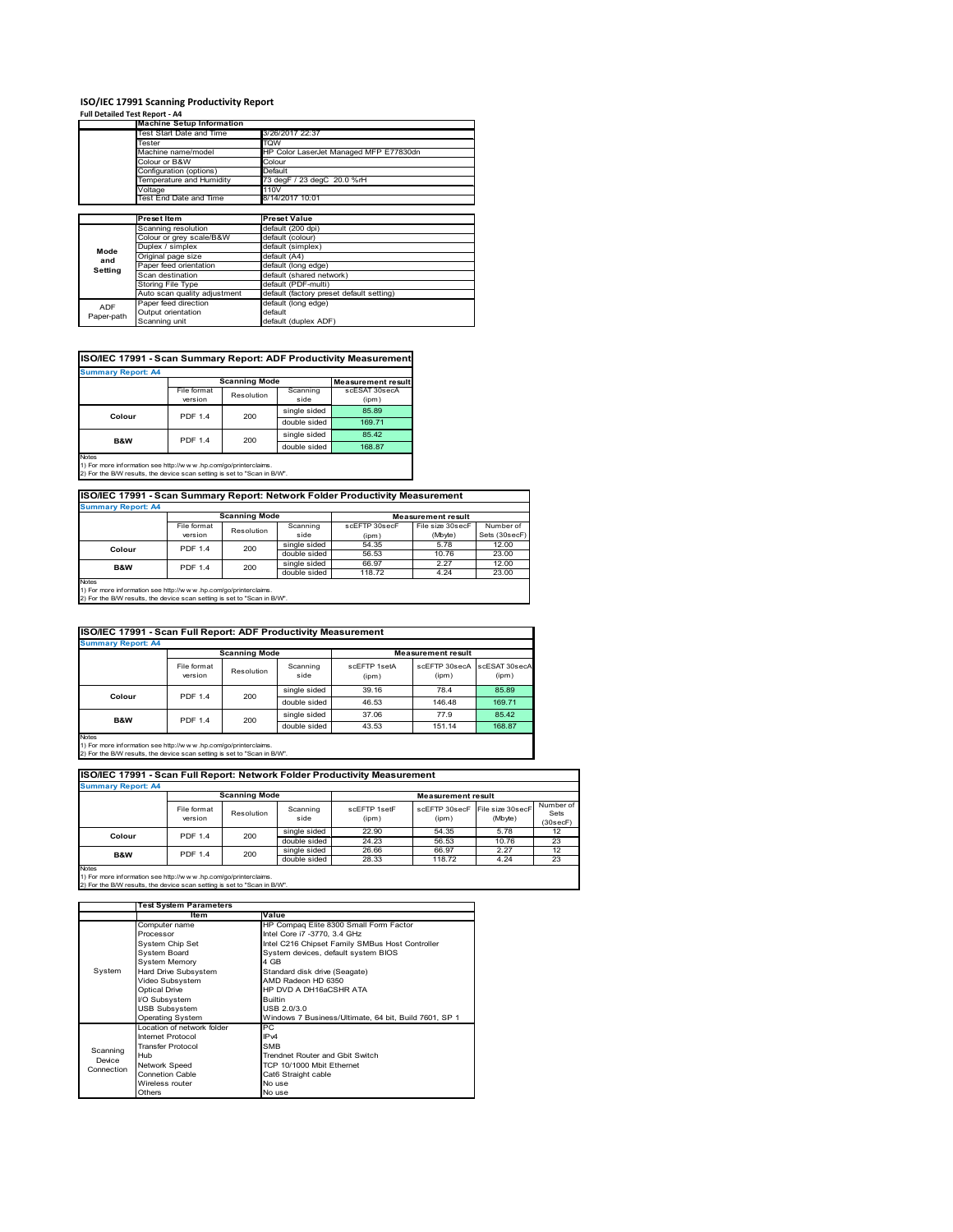### **ISO/IEC 17991 Scanning Productivity Report**

| Full Detailed Test Report - A4 |                                  |                                          |
|--------------------------------|----------------------------------|------------------------------------------|
|                                | <b>Machine Setup Information</b> |                                          |
|                                | Test Start Date and Time         | 3/26/2017 22:37                          |
|                                | Tester                           | TQW                                      |
|                                | Machine name/model               | HP Color LaserJet Managed MFP E77830dn   |
|                                | Colour or B&W                    | Colour                                   |
|                                | Configuration (options)          | Default                                  |
|                                | Temperature and Humidity         | 73 degF / 23 degC 20.0 %rH               |
|                                | Voltage                          | 110V                                     |
|                                | Test End Date and Time           | 8/14/2017 10:01                          |
|                                |                                  |                                          |
|                                | <b>Preset Item</b>               | <b>Preset Value</b>                      |
|                                | Scanning resolution              | default (200 dpi)                        |
|                                | Colour or grey scale/B&W         | default (colour)                         |
| Mode                           | Duplex / simplex                 | default (simplex)                        |
| and                            | Original page size               | default (A4)                             |
| Setting                        | Paper feed orientation           | default (long edge)                      |
|                                | Scan destination                 | default (shared network)                 |
|                                | Storing File Type                | default (PDF-multi)                      |
|                                | Auto scan quality adjustment     | default (factory preset default setting) |
| <b>ADF</b>                     | Paper feed direction             | default (long edge)                      |
| Paper-path                     | Output orientation               | default                                  |
|                                | Scanning unit                    | default (duplex ADF)                     |

### **ISO/IEC 17991 - Scan Summary Report: ADF Productivity Measurement**

| <b>Summary Report: A4</b> |                |                      |                           |               |  |  |
|---------------------------|----------------|----------------------|---------------------------|---------------|--|--|
|                           |                | <b>Scanning Mode</b> | <b>Measurement result</b> |               |  |  |
|                           | File format    | Resolution           | Scanning                  | scESAT 30secA |  |  |
|                           | version        |                      | side                      | (ipm)         |  |  |
| Colour                    | <b>PDF 1.4</b> | 200                  | single sided              | 85.89         |  |  |
|                           |                |                      | double sided              | 169.71        |  |  |
| <b>B&amp;W</b>            | <b>PDF 1.4</b> | 200                  | single sided              | 85.42         |  |  |
|                           |                |                      | double sided              | 168.87        |  |  |
| <b>Notes</b>              |                |                      |                           |               |  |  |

1) For more information see http://w w w .hp.com/go/printerclaims. 2) For the B/W results, the device scan setting is set to "Scan in B/W".

### **ISO/IEC 17991 - Scan Summary Report: Network Folder Productivity Measurement Summary Report: A4**

| <b>JUILLIALY REDUIL AT</b> |                      |            |              |                           |                  |               |
|----------------------------|----------------------|------------|--------------|---------------------------|------------------|---------------|
|                            | <b>Scanning Mode</b> |            |              | <b>Measurement result</b> |                  |               |
|                            | File format          | Resolution | Scanning     | scEFTP 30secF             | File size 30secF | Number of     |
|                            | version              |            | side         | (ipm)                     | (Mbyte)          | Sets (30secF) |
| Colour                     | <b>PDF 1.4</b>       | 200        | single sided | 54.35                     | 5.78             | 12.00         |
|                            |                      |            | double sided | 56.53                     | 10.76            | 23.00         |
| B&W                        | <b>PDF 1.4</b>       | 200        | single sided | 66.97                     | 2.27             | 12.00         |
|                            |                      |            | double sided | 118.72                    | 4.24             | 23.00         |
| <b>Notes</b>               |                      |            |              |                           |                  |               |

Notes 1) For more information see http://w w w .hp.com/go/printerclaims. 2) For the B/W results, the device scan setting is set to "Scan in B/W".

| ISO/IEC 17991 - Scan Full Report: ADF Productivity Measurement |                        |              |                  |                       |                           |                        |
|----------------------------------------------------------------|------------------------|--------------|------------------|-----------------------|---------------------------|------------------------|
| <b>Summary Report: A4</b>                                      |                        |              |                  |                       |                           |                        |
|                                                                | <b>Scanning Mode</b>   |              |                  |                       | <b>Measurement result</b> |                        |
|                                                                | File format<br>version | Resolution   | Scanning<br>side | scFFTP 1setA<br>(ipm) | scEETP 30secA<br>(ipm)    | scESAT 30secA<br>(ipm) |
| Colour                                                         | <b>PDF 1.4</b><br>200  |              | single sided     | 39.16                 | 78.4                      | 85.89                  |
|                                                                |                        | double sided | 46.53            | 146.48                | 169.71                    |                        |
| <b>B&amp;W</b>                                                 | <b>PDF 1.4</b>         | 200          | single sided     | 37.06                 | 77.9                      | 85.42                  |
|                                                                |                        |              | double sided     | 43.53                 | 151.14                    | 168.87                 |
| Notes                                                          |                        |              |                  |                       |                           |                        |

Notes 1) For more information see http://w w w .hp.com/go/printerclaims. 2) For the B/W results, the device scan setting is set to "Scan in B/W".

| ISO/IEC 17991 - Scan Full Report: Network Folder Productivity Measurement |                        |                      |                  |                       |                           |                                           |                               |
|---------------------------------------------------------------------------|------------------------|----------------------|------------------|-----------------------|---------------------------|-------------------------------------------|-------------------------------|
| <b>Summary Report: A4</b>                                                 |                        |                      |                  |                       |                           |                                           |                               |
|                                                                           |                        | <b>Scanning Mode</b> |                  |                       | <b>Measurement result</b> |                                           |                               |
|                                                                           | File format<br>version | Resolution           | Scanning<br>side | scFFTP 1setF<br>(ipm) | (ipm)                     | scEFTP 30secF File size 30secF<br>(Mbyte) | Number of<br>Sets<br>(30secF) |
| Colour                                                                    | <b>PDF 1.4</b>         | 200                  | single sided     | 22.90                 | 54.35                     | 5.78                                      | 12                            |
|                                                                           |                        |                      | double sided     | 24.23                 | 56.53                     | 10.76                                     | 23                            |
| <b>B&amp;W</b>                                                            | <b>PDF 1.4</b>         | 200                  | single sided     | 26.66                 | 66.97                     | 2.27                                      | 12                            |
|                                                                           |                        |                      | double sided     | 28.33                 | 118.72                    | 4.24                                      | 23                            |
| <b>Notes</b>                                                              |                        |                      |                  |                       |                           |                                           |                               |

|            | <b>Test System Parameters</b> |                                                       |
|------------|-------------------------------|-------------------------------------------------------|
|            | ltem                          | Value                                                 |
|            | Computer name                 | HP Compaq Elite 8300 Small Form Factor                |
|            | Processor                     | Intel Core i7 -3770, 3.4 GHz                          |
|            | System Chip Set               | Intel C216 Chipset Family SMBus Host Controller       |
|            | System Board                  | System devices, default system BIOS                   |
|            | <b>System Memory</b>          | 4 GB                                                  |
| System     | Hard Drive Subsystem          | Standard disk drive (Seagate)                         |
|            | Video Subsystem               | AMD Radeon HD 6350                                    |
|            | <b>Optical Drive</b>          | HP DVD A DH16aCSHR ATA                                |
|            | I/O Subsystem                 | <b>Builtin</b>                                        |
|            | <b>USB Subsystem</b>          | USB 2.0/3.0                                           |
|            | <b>Operating System</b>       | Windows 7 Business/Ultimate, 64 bit, Build 7601, SP 1 |
|            | I ocation of network folder   | РC                                                    |
|            | <b>Internet Protocol</b>      | IP <sub>v4</sub>                                      |
| Scanning   | <b>Transfer Protocol</b>      | <b>SMB</b>                                            |
| Device     | Hub                           | Trendnet Router and Gbit Switch                       |
|            | Network Speed                 | TCP 10/1000 Mbit Ethernet                             |
| Connection | <b>Connetion Cable</b>        | Cat6 Straight cable                                   |
|            | Wireless router               | No use                                                |
|            | Others                        | No use                                                |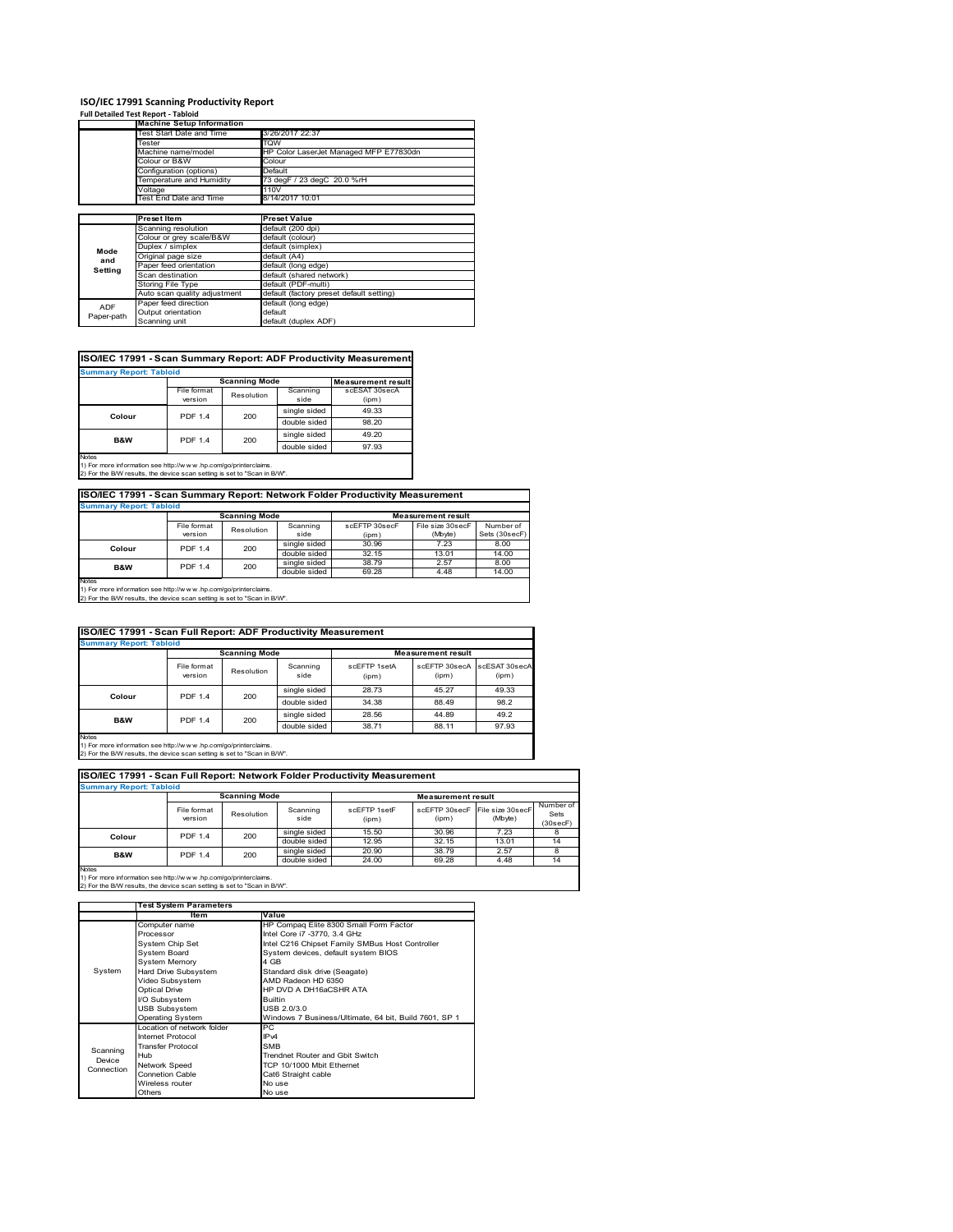#### **ISO/IEC 17991 Scanning Productivity Report**

|            | <b>Full Detailed Test Report - Tabloid</b>                                                                     |                                          |  |  |  |  |  |
|------------|----------------------------------------------------------------------------------------------------------------|------------------------------------------|--|--|--|--|--|
|            | <b>Machine Setup Information</b>                                                                               |                                          |  |  |  |  |  |
|            | Test Start Date and Time                                                                                       | 3/26/2017 22:37                          |  |  |  |  |  |
|            | Tester                                                                                                         | TQW                                      |  |  |  |  |  |
|            | Machine name/model                                                                                             | HP Color LaserJet Managed MFP E77830dn   |  |  |  |  |  |
|            | Colour or B&W                                                                                                  | Colour                                   |  |  |  |  |  |
|            | Configuration (options)                                                                                        | Default                                  |  |  |  |  |  |
|            | Temperature and Humidity                                                                                       | 73 degF / 23 degC 20.0 %rH               |  |  |  |  |  |
|            | Voltage                                                                                                        | 110V                                     |  |  |  |  |  |
|            | <b>Test End Date and Time</b>                                                                                  | 8/14/2017 10:01                          |  |  |  |  |  |
|            |                                                                                                                |                                          |  |  |  |  |  |
|            | <b>Preset Item</b>                                                                                             | <b>Preset Value</b>                      |  |  |  |  |  |
|            | Scanning resolution                                                                                            | default (200 dpi)                        |  |  |  |  |  |
|            | Colour or grey scale/B&W                                                                                       | default (colour)                         |  |  |  |  |  |
| Mode       | Duplex / simplex                                                                                               | default (simplex)                        |  |  |  |  |  |
| and        | Original page size                                                                                             | default (A4)                             |  |  |  |  |  |
| Setting    | Paper feed orientation                                                                                         | default (long edge)                      |  |  |  |  |  |
|            | Scan destination                                                                                               | default (shared network)                 |  |  |  |  |  |
|            | Storing File Type                                                                                              | default (PDF-multi)                      |  |  |  |  |  |
|            | Auto scan quality adjustment                                                                                   | default (factory preset default setting) |  |  |  |  |  |
| <b>ADF</b> | Paper feed direction                                                                                           | default (long edge)                      |  |  |  |  |  |
| Paper-path | Output orientation                                                                                             | default                                  |  |  |  |  |  |
|            | Orange and the contract of the first state of the first of the first of the first of the first of the first of |                                          |  |  |  |  |  |

### **ISO/IEC 17991 - Scan Summary Report: ADF Productivity Measurement**

| <b>Summary Report: Tabloid</b> |                        |                      |                  |                           |  |
|--------------------------------|------------------------|----------------------|------------------|---------------------------|--|
|                                |                        | <b>Scanning Mode</b> |                  | <b>Measurement result</b> |  |
|                                | File format<br>version | Resolution           | Scanning<br>side | scESAT 30secA<br>(ipm)    |  |
| Colour                         | <b>PDF 1.4</b>         | 200                  | single sided     | 49.33                     |  |
|                                |                        |                      | double sided     | 98.20                     |  |
| <b>B&amp;W</b>                 | <b>PDF 1.4</b>         | 200                  | single sided     | 49.20                     |  |
|                                |                        |                      | double sided     | 97.93                     |  |
| <b>Notes</b>                   |                        |                      |                  |                           |  |

Notes 1) For more information see http://w w w .hp.com/go/printerclaims. 2) For the B/W results, the device scan setting is set to "Scan in B/W".

### **ISO/IEC 17991 - Scan Summary Report: Network Folder Productivity Measurement**

default (duplex ADF)

| <b>Summary Report: Tabloid</b> |                      |            |              |                           |                  |               |
|--------------------------------|----------------------|------------|--------------|---------------------------|------------------|---------------|
|                                | <b>Scanning Mode</b> |            |              | <b>Measurement result</b> |                  |               |
|                                | File format          | Resolution | Scanning     | scEFTP 30secF             | File size 30secF | Number of     |
|                                | version              |            | side         | (ipm)                     | (Mbyte)          | Sets (30secF) |
| Colour                         | <b>PDF 1.4</b>       | 200        | single sided | 30.96                     | 7.23             | 8.00          |
|                                |                      |            | double sided | 32.15                     | 13.01            | 14.00         |
| B&W                            | <b>PDF 1.4</b>       | 200        | single sided | 38.79                     | 2.57             | 8.00          |
|                                |                      |            | double sided | 69.28                     | 4.48             | 14.00         |
| <b>Notes</b>                   |                      |            |              |                           |                  |               |

Notes 1) For more information see http://w w w .hp.com/go/printerclaims. 2) For the B/W results, the device scan setting is set to "Scan in B/W".

| ISO/IEC 17991 - Scan Full Report: ADF Productivity Measurement |                                |                      |                  |                       |                                      |       |  |
|----------------------------------------------------------------|--------------------------------|----------------------|------------------|-----------------------|--------------------------------------|-------|--|
|                                                                | <b>Summary Report: Tabloid</b> |                      |                  |                       |                                      |       |  |
|                                                                |                                | <b>Scanning Mode</b> |                  |                       | <b>Measurement result</b>            |       |  |
|                                                                | File format<br>version         | Resolution           | Scanning<br>side | scFFTP 1setA<br>(ipm) | scEFTP 30secA scESAT 30secA<br>(ipm) | (ipm) |  |
| Colour                                                         | <b>PDF 1.4</b><br>200          |                      | single sided     | 28.73                 | 45.27                                | 49.33 |  |
|                                                                |                                |                      | double sided     | 34.38                 | 88.49                                | 98.2  |  |
| B&W                                                            | <b>PDF 1.4</b>                 | 200                  | single sided     | 28.56                 | 44.89                                | 49.2  |  |
|                                                                |                                |                      | double sided     | 38.71                 | 88.11                                | 97.93 |  |
| <b>Notes</b>                                                   |                                |                      |                  |                       |                                      |       |  |

Notes 1) For more information see http://w w w .hp.com/go/printerclaims. 2) For the B/W results, the device scan setting is set to "Scan in B/W".

| ISO/IEC 17991 - Scan Full Report: Network Folder Productivity Measurement |                        |            |                  |                           |                                         |         |                               |
|---------------------------------------------------------------------------|------------------------|------------|------------------|---------------------------|-----------------------------------------|---------|-------------------------------|
| <b>Summary Report: Tabloid</b>                                            |                        |            |                  |                           |                                         |         |                               |
|                                                                           | <b>Scanning Mode</b>   |            |                  | <b>Measurement result</b> |                                         |         |                               |
|                                                                           | File format<br>version | Resolution | Scanning<br>side | scEFTP 1setF<br>(ipm)     | scEFTP 30secF File size 30secF<br>(ipm) | (Mbyte) | Number of<br>Sets<br>(30secF) |
| Colour                                                                    | <b>PDF 1.4</b>         | 200        | single sided     | 15.50                     | 30.96                                   | 7.23    | 8                             |
|                                                                           |                        |            | double sided     | 12.95                     | 32.15                                   | 13.01   | 14                            |
| <b>B&amp;W</b>                                                            | <b>PDF 1.4</b>         | 200        | single sided     | 20.90                     | 38.79                                   | 2.57    | 8                             |
|                                                                           |                        |            | double sided     | 24.00                     | 69.28                                   | 4.48    | 14                            |
| <b>Notes</b>                                                              |                        |            |                  |                           |                                         |         |                               |

|            | <b>Test System Parameters</b> |                                                       |
|------------|-------------------------------|-------------------------------------------------------|
|            | <b>Item</b>                   | Value                                                 |
|            | Computer name                 | HP Compaq Elite 8300 Small Form Factor                |
|            | Processor                     | Intel Core i7 -3770, 3.4 GHz                          |
|            | System Chip Set               | Intel C216 Chipset Family SMBus Host Controller       |
|            | <b>System Board</b>           | System devices, default system BIOS                   |
|            | <b>System Memory</b>          | 4 GB                                                  |
| System     | Hard Drive Subsystem          | Standard disk drive (Seagate)                         |
|            | Video Subsystem               | AMD Radeon HD 6350                                    |
|            | Optical Drive                 | HP DVD A DH16aCSHR ATA                                |
|            | I/O Subsystem                 | <b>Builtin</b>                                        |
|            | <b>USB Subsystem</b>          | USB 2.0/3.0                                           |
|            | <b>Operating System</b>       | Windows 7 Business/Ultimate, 64 bit, Build 7601, SP 1 |
|            | Location of network folder    | РC                                                    |
|            | Internet Protocol             | IP <sub>v4</sub>                                      |
| Scanning   | <b>Transfer Protocol</b>      | <b>SMB</b>                                            |
| Device     | Hub                           | Trendnet Router and Gbit Switch                       |
| Connection | Network Speed                 | TCP 10/1000 Mbit Ethernet                             |
|            | <b>Connetion Cable</b>        | Cat6 Straight cable                                   |
|            | Wireless router               | No use                                                |
|            | Others                        | No use                                                |